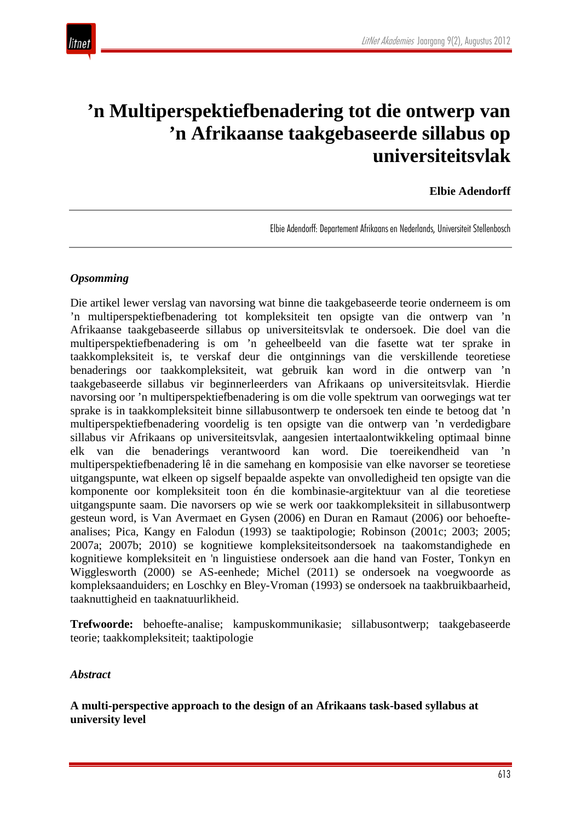

## **'n Multiperspektiefbenadering tot die ontwerp van 'n Afrikaanse taakgebaseerde sillabus op universiteitsvlak**

## **Elbie Adendorff**

Elbie Adendorff: Departement Afrikaans en Nederlands, Universiteit Stellenbosch

### *Opsomming*

Die artikel lewer verslag van navorsing wat binne die taakgebaseerde teorie onderneem is om 'n multiperspektiefbenadering tot kompleksiteit ten opsigte van die ontwerp van 'n Afrikaanse taakgebaseerde sillabus op universiteitsvlak te ondersoek. Die doel van die multiperspektiefbenadering is om 'n geheelbeeld van die fasette wat ter sprake in taakkompleksiteit is, te verskaf deur die ontginnings van die verskillende teoretiese benaderings oor taakkompleksiteit, wat gebruik kan word in die ontwerp van 'n taakgebaseerde sillabus vir beginnerleerders van Afrikaans op universiteitsvlak. Hierdie navorsing oor 'n multiperspektiefbenadering is om die volle spektrum van oorwegings wat ter sprake is in taakkompleksiteit binne sillabusontwerp te ondersoek ten einde te betoog dat 'n multiperspektiefbenadering voordelig is ten opsigte van die ontwerp van 'n verdedigbare sillabus vir Afrikaans op universiteitsvlak, aangesien intertaalontwikkeling optimaal binne elk van die benaderings verantwoord kan word. Die toereikendheid van multiperspektiefbenadering lê in die samehang en komposisie van elke navorser se teoretiese uitgangspunte, wat elkeen op sigself bepaalde aspekte van onvolledigheid ten opsigte van die komponente oor kompleksiteit toon én die kombinasie-argitektuur van al die teoretiese uitgangspunte saam. Die navorsers op wie se werk oor taakkompleksiteit in sillabusontwerp gesteun word, is Van Avermaet en Gysen (2006) en Duran en Ramaut (2006) oor behoefteanalises; Pica, Kangy en Falodun (1993) se taaktipologie; Robinson (2001c; 2003; 2005; 2007a; 2007b; 2010) se kognitiewe kompleksiteitsondersoek na taakomstandighede en kognitiewe kompleksiteit en 'n linguistiese ondersoek aan die hand van Foster, Tonkyn en Wigglesworth (2000) se AS-eenhede; Michel (2011) se ondersoek na voegwoorde as kompleksaanduiders; en Loschky en Bley-Vroman (1993) se ondersoek na taakbruikbaarheid, taaknuttigheid en taaknatuurlikheid.

**Trefwoorde:** behoefte-analise; kampuskommunikasie; sillabusontwerp; taakgebaseerde teorie; taakkompleksiteit; taaktipologie

#### *Abstract*

**A multi-perspective approach to the design of an Afrikaans task-based syllabus at university level**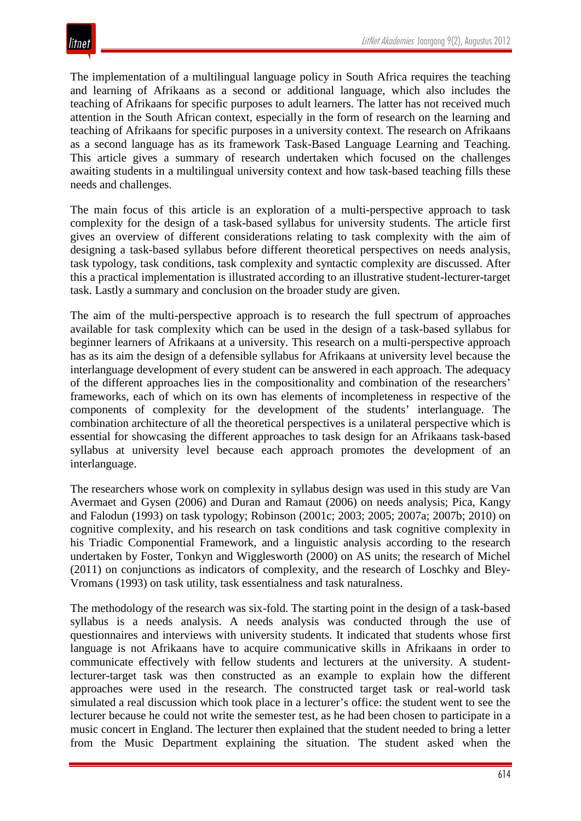The implementation of a multilingual language policy in South Africa requires the teaching and learning of Afrikaans as a second or additional language, which also includes the teaching of Afrikaans for specific purposes to adult learners. The latter has not received much attention in the South African context, especially in the form of research on the learning and teaching of Afrikaans for specific purposes in a university context. The research on Afrikaans as a second language has as its framework Task-Based Language Learning and Teaching. This article gives a summary of research undertaken which focused on the challenges awaiting students in a multilingual university context and how task-based teaching fills these needs and challenges.

The main focus of this article is an exploration of a multi-perspective approach to task complexity for the design of a task-based syllabus for university students. The article first gives an overview of different considerations relating to task complexity with the aim of designing a task-based syllabus before different theoretical perspectives on needs analysis, task typology, task conditions, task complexity and syntactic complexity are discussed. After this a practical implementation is illustrated according to an illustrative student-lecturer-target task. Lastly a summary and conclusion on the broader study are given.

The aim of the multi-perspective approach is to research the full spectrum of approaches available for task complexity which can be used in the design of a task-based syllabus for beginner learners of Afrikaans at a university. This research on a multi-perspective approach has as its aim the design of a defensible syllabus for Afrikaans at university level because the interlanguage development of every student can be answered in each approach. The adequacy of the different approaches lies in the compositionality and combination of the researchers' frameworks, each of which on its own has elements of incompleteness in respective of the components of complexity for the development of the students' interlanguage. The combination architecture of all the theoretical perspectives is a unilateral perspective which is essential for showcasing the different approaches to task design for an Afrikaans task-based syllabus at university level because each approach promotes the development of an interlanguage.

The researchers whose work on complexity in syllabus design was used in this study are Van Avermaet and Gysen (2006) and Duran and Ramaut (2006) on needs analysis; Pica, Kangy and Falodun (1993) on task typology; Robinson (2001c; 2003; 2005; 2007a; 2007b; 2010) on cognitive complexity, and his research on task conditions and task cognitive complexity in his Triadic Componential Framework, and a linguistic analysis according to the research undertaken by Foster, Tonkyn and Wigglesworth (2000) on AS units; the research of Michel (2011) on conjunctions as indicators of complexity, and the research of Loschky and Bley-Vromans (1993) on task utility, task essentialness and task naturalness.

The methodology of the research was six-fold. The starting point in the design of a task-based syllabus is a needs analysis. A needs analysis was conducted through the use of questionnaires and interviews with university students. It indicated that students whose first language is not Afrikaans have to acquire communicative skills in Afrikaans in order to communicate effectively with fellow students and lecturers at the university. A studentlecturer-target task was then constructed as an example to explain how the different approaches were used in the research. The constructed target task or real-world task simulated a real discussion which took place in a lecturer's office: the student went to see the lecturer because he could not write the semester test, as he had been chosen to participate in a music concert in England. The lecturer then explained that the student needed to bring a letter from the Music Department explaining the situation. The student asked when the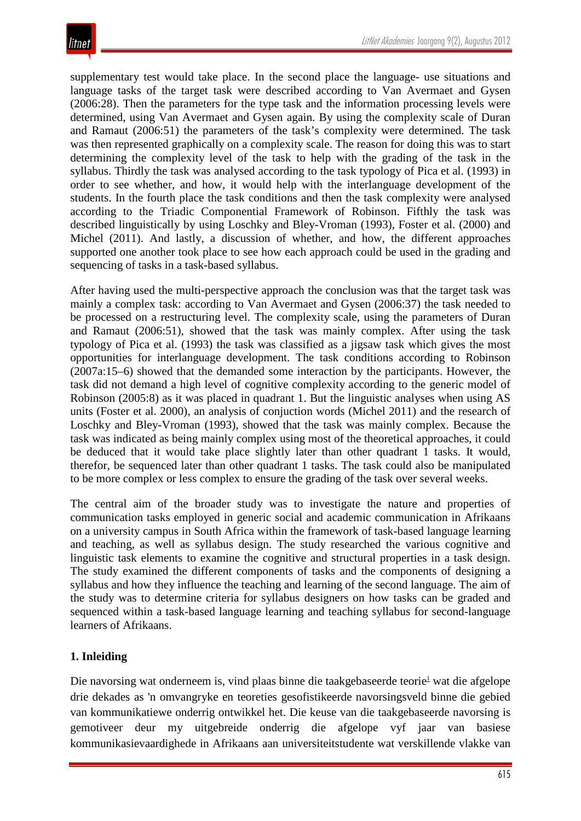supplementary test would take place. In the second place the language- use situations and language tasks of the target task were described according to Van Avermaet and Gysen (2006:28). Then the parameters for the type task and the information processing levels were determined, using Van Avermaet and Gysen again. By using the complexity scale of Duran and Ramaut (2006:51) the parameters of the task's complexity were determined. The task was then represented graphically on a complexity scale. The reason for doing this was to start determining the complexity level of the task to help with the grading of the task in the syllabus. Thirdly the task was analysed according to the task typology of Pica et al. (1993) in order to see whether, and how, it would help with the interlanguage development of the students. In the fourth place the task conditions and then the task complexity were analysed according to the Triadic Componential Framework of Robinson. Fifthly the task was described linguistically by using Loschky and Bley-Vroman (1993), Foster et al. (2000) and Michel (2011). And lastly, a discussion of whether, and how, the different approaches supported one another took place to see how each approach could be used in the grading and sequencing of tasks in a task-based syllabus.

After having used the multi-perspective approach the conclusion was that the target task was mainly a complex task: according to Van Avermaet and Gysen (2006:37) the task needed to be processed on a restructuring level. The complexity scale, using the parameters of Duran and Ramaut (2006:51), showed that the task was mainly complex. After using the task typology of Pica et al. (1993) the task was classified as a jigsaw task which gives the most opportunities for interlanguage development. The task conditions according to Robinson (2007a:15–6) showed that the demanded some interaction by the participants. However, the task did not demand a high level of cognitive complexity according to the generic model of Robinson (2005:8) as it was placed in quadrant 1. But the linguistic analyses when using AS units (Foster et al. 2000), an analysis of conjuction words (Michel 2011) and the research of Loschky and Bley-Vroman (1993), showed that the task was mainly complex. Because the task was indicated as being mainly complex using most of the theoretical approaches, it could be deduced that it would take place slightly later than other quadrant 1 tasks. It would, therefor, be sequenced later than other quadrant 1 tasks. The task could also be manipulated to be more complex or less complex to ensure the grading of the task over several weeks.

The central aim of the broader study was to investigate the nature and properties of communication tasks employed in generic social and academic communication in Afrikaans on a university campus in South Africa within the framework of task-based language learning and teaching, as well as syllabus design. The study researched the various cognitive and linguistic task elements to examine the cognitive and structural properties in a task design. The study examined the different components of tasks and the components of designing a syllabus and how they influence the teaching and learning of the second language. The aim of the study was to determine criteria for syllabus designers on how tasks can be graded and sequenced within a task-based language learning and teaching syllabus for second-language learners of Afrikaans.

## **1. Inleiding**

Die navorsing wat onderneem is, vind plaas binne die taakgebaseerde teorie<sup>1</sup> wat die afgelope drie dekades as 'n omvangryke en teoreties gesofistikeerde navorsingsveld binne die gebied van kommunikatiewe onderrig ontwikkel het. Die keuse van die taakgebaseerde navorsing is gemotiveer deur my uitgebreide onderrig die afgelope vyf jaar van basiese kommunikasievaardighede in Afrikaans aan universiteitstudente wat verskillende vlakke van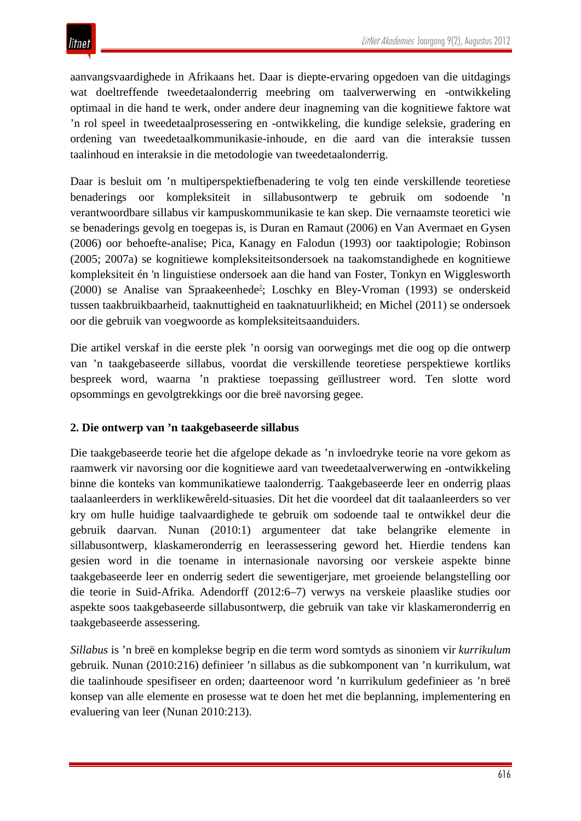aanvangsvaardighede in Afrikaans het. Daar is diepte-ervaring opgedoen van die uitdagings wat doeltreffende tweedetaalonderrig meebring om taalverwerwing en -ontwikkeling optimaal in die hand te werk, onder andere deur inagneming van die kognitiewe faktore wat 'n rol speel in tweedetaalprosessering en -ontwikkeling, die kundige seleksie, gradering en ordening van tweedetaalkommunikasie-inhoude, en die aard van die interaksie tussen taalinhoud en interaksie in die metodologie van tweedetaalonderrig.

Daar is besluit om 'n multiperspektiefbenadering te volg ten einde verskillende teoretiese benaderings oor kompleksiteit in sillabusontwerp te gebruik om sodoende 'n verantwoordbare sillabus vir kampuskommunikasie te kan skep. Die vernaamste teoretici wie se benaderings gevolg en toegepas is, is Duran en Ramaut (2006) en Van Avermaet en Gysen (2006) oor behoefte-analise; Pica, Kanagy en Falodun (1993) oor taaktipologie; Robinson (2005; 2007a) se kognitiewe kompleksiteitsondersoek na taakomstandighede en kognitiewe kompleksiteit én 'n linguistiese ondersoek aan die hand van Foster, Tonkyn en Wigglesworth (2000) se Analise van Spraakeenhede<sup>2</sup>; Loschky en Bley-Vroman (1993) se onderskeid tussen taakbruikbaarheid, taaknuttigheid en taaknatuurlikheid; en Michel (2011) se ondersoek oor die gebruik van voegwoorde as kompleksiteitsaanduiders.

Die artikel verskaf in die eerste plek 'n oorsig van oorwegings met die oog op die ontwerp van 'n taakgebaseerde sillabus, voordat die verskillende teoretiese perspektiewe kortliks bespreek word, waarna 'n praktiese toepassing geïllustreer word. Ten slotte word opsommings en gevolgtrekkings oor die breë navorsing gegee.

### **2. Die ontwerp van 'n taakgebaseerde sillabus**

Die taakgebaseerde teorie het die afgelope dekade as 'n invloedryke teorie na vore gekom as raamwerk vir navorsing oor die kognitiewe aard van tweedetaalverwerwing en -ontwikkeling binne die konteks van kommunikatiewe taalonderrig. Taakgebaseerde leer en onderrig plaas taalaanleerders in werklikewêreld-situasies. Dit het die voordeel dat dit taalaanleerders so ver kry om hulle huidige taalvaardighede te gebruik om sodoende taal te ontwikkel deur die gebruik daarvan. Nunan (2010:1) argumenteer dat take belangrike elemente in sillabusontwerp, klaskameronderrig en leerassessering geword het. Hierdie tendens kan gesien word in die toename in internasionale navorsing oor verskeie aspekte binne taakgebaseerde leer en onderrig sedert die sewentigerjare, met groeiende belangstelling oor die teorie in Suid-Afrika. Adendorff (2012:6–7) verwys na verskeie plaaslike studies oor aspekte soos taakgebaseerde sillabusontwerp, die gebruik van take vir klaskameronderrig en taakgebaseerde assessering.

*Sillabus* is 'n breë en komplekse begrip en die term word somtyds as sinoniem vir *kurrikulum* gebruik. Nunan (2010:216) definieer 'n sillabus as die subkomponent van 'n kurrikulum, wat die taalinhoude spesifiseer en orden; daarteenoor word 'n kurrikulum gedefinieer as 'n breë konsep van alle elemente en prosesse wat te doen het met die beplanning, implementering en evaluering van leer (Nunan 2010:213).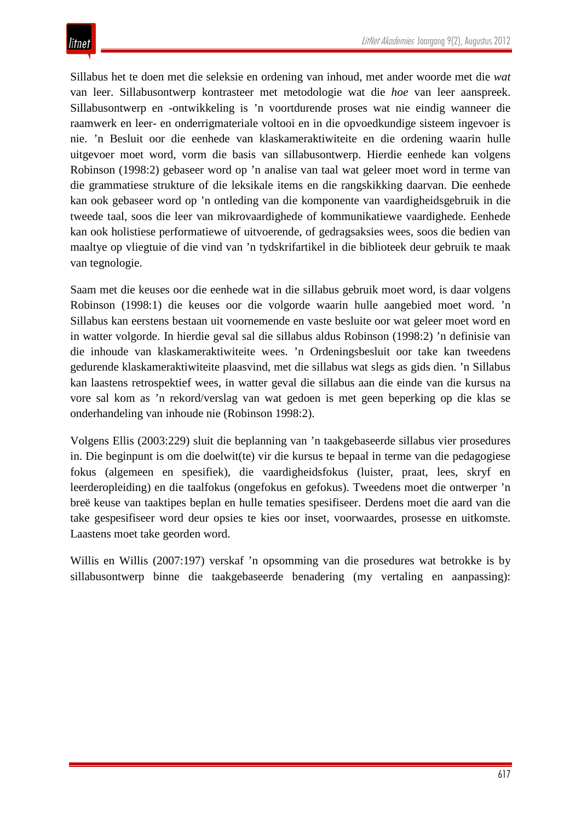Sillabus het te doen met die seleksie en ordening van inhoud, met ander woorde met die *wat* van leer. Sillabusontwerp kontrasteer met metodologie wat die *hoe* van leer aanspreek. Sillabusontwerp en -ontwikkeling is 'n voortdurende proses wat nie eindig wanneer die raamwerk en leer- en onderrigmateriale voltooi en in die opvoedkundige sisteem ingevoer is nie. 'n Besluit oor die eenhede van klaskameraktiwiteite en die ordening waarin hulle uitgevoer moet word, vorm die basis van sillabusontwerp. Hierdie eenhede kan volgens Robinson (1998:2) gebaseer word op 'n analise van taal wat geleer moet word in terme van die grammatiese strukture of die leksikale items en die rangskikking daarvan. Die eenhede kan ook gebaseer word op 'n ontleding van die komponente van vaardigheidsgebruik in die tweede taal, soos die leer van mikrovaardighede of kommunikatiewe vaardighede. Eenhede kan ook holistiese performatiewe of uitvoerende, of gedragsaksies wees, soos die bedien van maaltye op vliegtuie of die vind van 'n tydskrifartikel in die biblioteek deur gebruik te maak van tegnologie.

Saam met die keuses oor die eenhede wat in die sillabus gebruik moet word, is daar volgens Robinson (1998:1) die keuses oor die volgorde waarin hulle aangebied moet word. 'n Sillabus kan eerstens bestaan uit voornemende en vaste besluite oor wat geleer moet word en in watter volgorde. In hierdie geval sal die sillabus aldus Robinson (1998:2) 'n definisie van die inhoude van klaskameraktiwiteite wees. 'n Ordeningsbesluit oor take kan tweedens gedurende klaskameraktiwiteite plaasvind, met die sillabus wat slegs as gids dien. 'n Sillabus kan laastens retrospektief wees, in watter geval die sillabus aan die einde van die kursus na vore sal kom as 'n rekord/verslag van wat gedoen is met geen beperking op die klas se onderhandeling van inhoude nie (Robinson 1998:2).

Volgens Ellis (2003:229) sluit die beplanning van 'n taakgebaseerde sillabus vier prosedures in. Die beginpunt is om die doelwit(te) vir die kursus te bepaal in terme van die pedagogiese fokus (algemeen en spesifiek), die vaardigheidsfokus (luister, praat, lees, skryf en leerderopleiding) en die taalfokus (ongefokus en gefokus). Tweedens moet die ontwerper 'n breë keuse van taaktipes beplan en hulle tematies spesifiseer. Derdens moet die aard van die take gespesifiseer word deur opsies te kies oor inset, voorwaardes, prosesse en uitkomste. Laastens moet take georden word.

Willis en Willis (2007:197) verskaf 'n opsomming van die prosedures wat betrokke is by sillabusontwerp binne die taakgebaseerde benadering (my vertaling en aanpassing):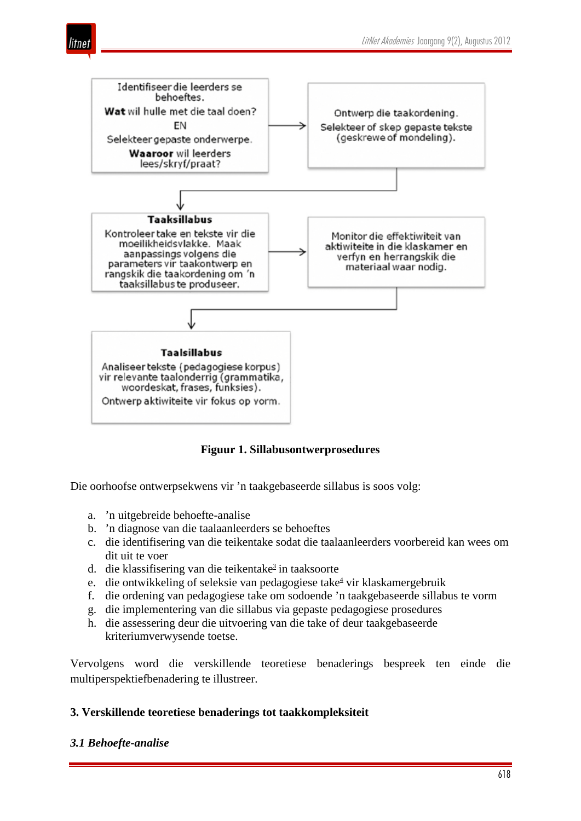



**Figuur 1. Sillabusontwerprosedures**

Die oorhoofse ontwerpsekwens vir 'n taakgebaseerde sillabus is soos volg:

- a. 'n uitgebreide behoefte-analise
- b. 'n diagnose van die taalaanleerders se behoeftes
- c. die identifisering van die teikentake sodat die taalaanleerders voorbereid kan wees om dit uit te voer
- d. die klassifisering van die teikentake<sup>3</sup> in taaksoorte
- e. die ontwikkeling of seleksie van pedagogiese take<sup>4</sup> vir klaskamergebruik
- f. die ordening van pedagogiese take om sodoende 'n taakgebaseerde sillabus te vorm
- g. die implementering van die sillabus via gepaste pedagogiese prosedures
- h. die assessering deur die uitvoering van die take of deur taakgebaseerde kriteriumverwysende toetse.

Vervolgens word die verskillende teoretiese benaderings bespreek ten einde die multiperspektiefbenadering te illustreer.

### **3. Verskillende teoretiese benaderings tot taakkompleksiteit**

#### *3.1 Behoefte-analise*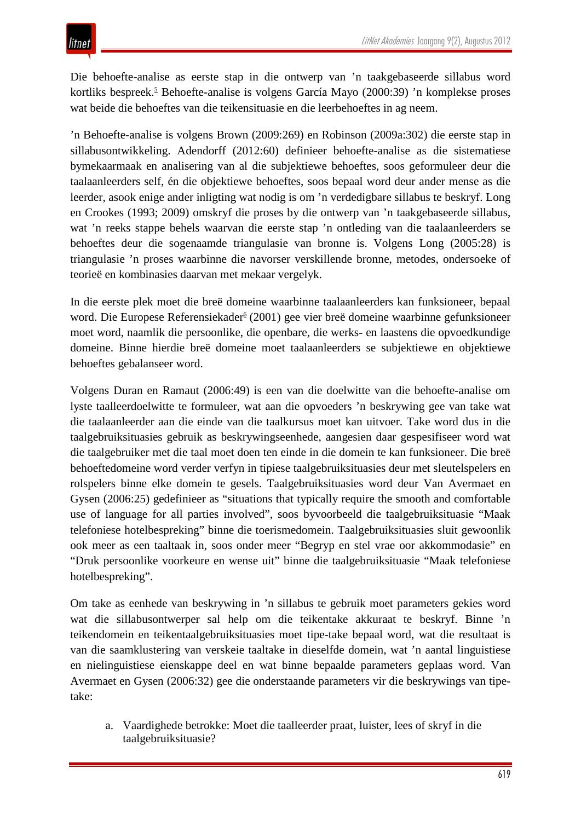Die behoefte-analise as eerste stap in die ontwerp van 'n taakgebaseerde sillabus word kortliks bespreek.<sup>5</sup> Behoefte-analise is volgens García Mayo (2000:39) 'n komplekse proses wat beide die behoeftes van die teikensituasie en die leerbehoeftes in ag neem.

'n Behoefte-analise is volgens Brown (2009:269) en Robinson (2009a:302) die eerste stap in sillabusontwikkeling. Adendorff (2012:60) definieer behoefte-analise as die sistematiese bymekaarmaak en analisering van al die subjektiewe behoeftes, soos geformuleer deur die taalaanleerders self, én die objektiewe behoeftes, soos bepaal word deur ander mense as die leerder, asook enige ander inligting wat nodig is om 'n verdedigbare sillabus te beskryf. Long en Crookes (1993; 2009) omskryf die proses by die ontwerp van 'n taakgebaseerde sillabus, wat 'n reeks stappe behels waarvan die eerste stap 'n ontleding van die taalaanleerders se behoeftes deur die sogenaamde triangulasie van bronne is. Volgens Long (2005:28) is triangulasie 'n proses waarbinne die navorser verskillende bronne, metodes, ondersoeke of teorieë en kombinasies daarvan met mekaar vergelyk.

In die eerste plek moet die breë domeine waarbinne taalaanleerders kan funksioneer, bepaal word. Die Europese Referensiekader<sup>6</sup> (2001) gee vier breë domeine waarbinne gefunksioneer moet word, naamlik die persoonlike, die openbare, die werks- en laastens die opvoedkundige domeine. Binne hierdie breë domeine moet taalaanleerders se subjektiewe en objektiewe behoeftes gebalanseer word.

Volgens Duran en Ramaut (2006:49) is een van die doelwitte van die behoefte-analise om lyste taalleerdoelwitte te formuleer, wat aan die opvoeders 'n beskrywing gee van take wat die taalaanleerder aan die einde van die taalkursus moet kan uitvoer. Take word dus in die taalgebruiksituasies gebruik as beskrywingseenhede, aangesien daar gespesifiseer word wat die taalgebruiker met die taal moet doen ten einde in die domein te kan funksioneer. Die breë behoeftedomeine word verder verfyn in tipiese taalgebruiksituasies deur met sleutelspelers en rolspelers binne elke domein te gesels. Taalgebruiksituasies word deur Van Avermaet en Gysen (2006:25) gedefinieer as "situations that typically require the smooth and comfortable use of language for all parties involved", soos byvoorbeeld die taalgebruiksituasie "Maak telefoniese hotelbespreking" binne die toerismedomein. Taalgebruiksituasies sluit gewoonlik ook meer as een taaltaak in, soos onder meer "Begryp en stel vrae oor akkommodasie" en "Druk persoonlike voorkeure en wense uit" binne die taalgebruiksituasie "Maak telefoniese hotelbespreking".

Om take as eenhede van beskrywing in 'n sillabus te gebruik moet parameters gekies word wat die sillabusontwerper sal help om die teikentake akkuraat te beskryf. Binne 'n teikendomein en teikentaalgebruiksituasies moet tipe-take bepaal word, wat die resultaat is van die saamklustering van verskeie taaltake in dieselfde domein, wat 'n aantal linguistiese en nielinguistiese eienskappe deel en wat binne bepaalde parameters geplaas word. Van Avermaet en Gysen (2006:32) gee die onderstaande parameters vir die beskrywings van tipetake:

a. Vaardighede betrokke: Moet die taalleerder praat, luister, lees of skryf in die taalgebruiksituasie?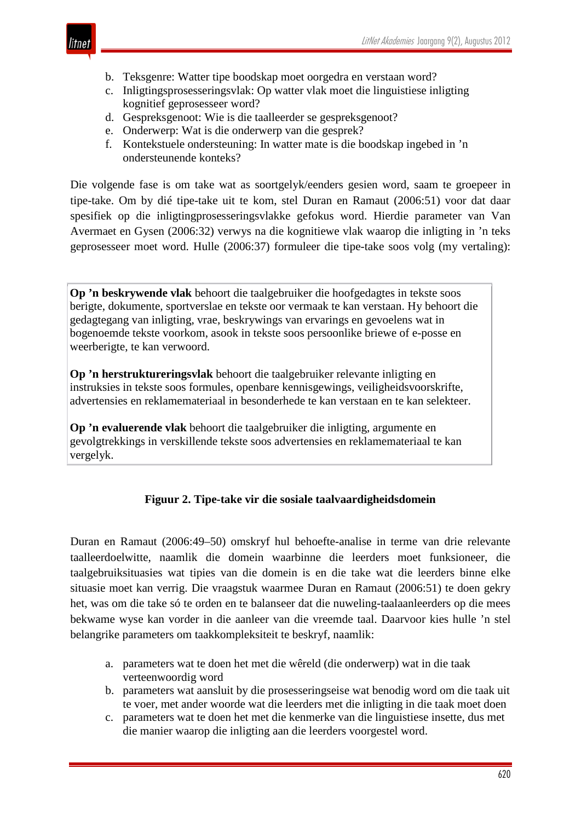- b. Teksgenre: Watter tipe boodskap moet oorgedra en verstaan word?
- c. Inligtingsprosesseringsvlak: Op watter vlak moet die linguistiese inligting kognitief geprosesseer word?
- d. Gespreksgenoot: Wie is die taalleerder se gespreksgenoot?
- e. Onderwerp: Wat is die onderwerp van die gesprek?
- f. Kontekstuele ondersteuning: In watter mate is die boodskap ingebed in 'n ondersteunende konteks?

Die volgende fase is om take wat as soortgelyk/eenders gesien word, saam te groepeer in tipe-take. Om by dié tipe-take uit te kom, stel Duran en Ramaut (2006:51) voor dat daar spesifiek op die inligtingprosesseringsvlakke gefokus word. Hierdie parameter van Van Avermaet en Gysen (2006:32) verwys na die kognitiewe vlak waarop die inligting in 'n teks geprosesseer moet word. Hulle (2006:37) formuleer die tipe-take soos volg (my vertaling):

**Op 'n beskrywende vlak** behoort die taalgebruiker die hoofgedagtes in tekste soos berigte, dokumente, sportverslae en tekste oor vermaak te kan verstaan. Hy behoort die gedagtegang van inligting, vrae, beskrywings van ervarings en gevoelens wat in bogenoemde tekste voorkom, asook in tekste soos persoonlike briewe of e-posse en weerberigte, te kan verwoord.

**Op 'n herstruktureringsvlak** behoort die taalgebruiker relevante inligting en instruksies in tekste soos formules, openbare kennisgewings, veiligheidsvoorskrifte, advertensies en reklamemateriaal in besonderhede te kan verstaan en te kan selekteer.

**Op 'n evaluerende vlak** behoort die taalgebruiker die inligting, argumente en gevolgtrekkings in verskillende tekste soos advertensies en reklamemateriaal te kan vergelyk.

## **Figuur 2. Tipe-take vir die sosiale taalvaardigheidsdomein**

Duran en Ramaut (2006:49–50) omskryf hul behoefte-analise in terme van drie relevante taalleerdoelwitte, naamlik die domein waarbinne die leerders moet funksioneer, die taalgebruiksituasies wat tipies van die domein is en die take wat die leerders binne elke situasie moet kan verrig. Die vraagstuk waarmee Duran en Ramaut (2006:51) te doen gekry het, was om die take só te orden en te balanseer dat die nuweling-taalaanleerders op die mees bekwame wyse kan vorder in die aanleer van die vreemde taal. Daarvoor kies hulle 'n stel belangrike parameters om taakkompleksiteit te beskryf, naamlik:

- a. parameters wat te doen het met die wêreld (die onderwerp) wat in die taak verteenwoordig word
- b. parameters wat aansluit by die prosesseringseise wat benodig word om die taak uit te voer, met ander woorde wat die leerders met die inligting in die taak moet doen
- c. parameters wat te doen het met die kenmerke van die linguistiese insette, dus met die manier waarop die inligting aan die leerders voorgestel word.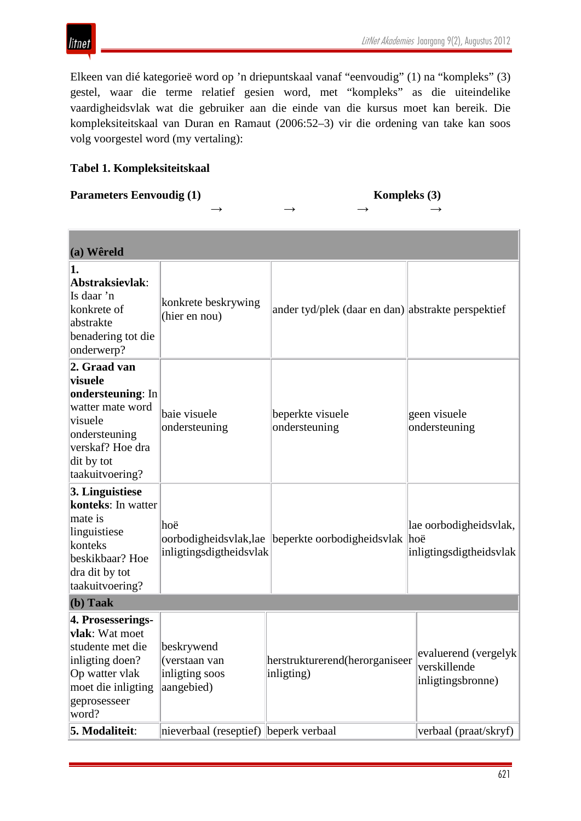Elkeen van dié kategorieë word op 'n driepuntskaal vanaf "eenvoudig" (1) na "kompleks" (3) gestel, waar die terme relatief gesien word, met "kompleks" as die uiteindelike vaardigheidsvlak wat die gebruiker aan die einde van die kursus moet kan bereik. Die kompleksiteitskaal van Duran en Ramaut (2006:52–3) vir die ordening van take kan soos volg voorgestel word (my vertaling):

## **Tabel 1. Kompleksiteitskaal**

*litnet* 

## **Parameters Eenvoudig (1)** Kompleks (3)

# **→ → → →**

| (a) Wêreld                                                                                                                                        |                                                                                                      |                                                    |                                                                                    |
|---------------------------------------------------------------------------------------------------------------------------------------------------|------------------------------------------------------------------------------------------------------|----------------------------------------------------|------------------------------------------------------------------------------------|
| 1.<br>Abstraksievlak:<br>Is daar 'n<br>konkrete of<br>abstrakte<br>benadering tot die<br>onderwerp?                                               | konkrete beskrywing<br>(hier en nou)                                                                 | ander tyd/plek (daar en dan) abstrakte perspektief |                                                                                    |
| 2. Graad van<br>visuele<br>ondersteuning: In<br>watter mate word<br>visuele<br>ondersteuning<br>verskaf? Hoe dra<br>dit by tot<br>taakuitvoering? | baie visuele<br>ondersteuning                                                                        | beperkte visuele<br>ondersteuning                  | geen visuele<br>ondersteuning                                                      |
| 3. Linguistiese<br>konteks: In watter<br>mate is<br>linguistiese<br>konteks<br>beskikbaar? Hoe<br>dra dit by tot<br>taakuitvoering?               | hoë<br>oorbodigheidsvlak, lae<br>inligtingsdigtheidsvlak                                             | beperkte oorbodigheidsvlak hoë                     | lae oorbodigheidsvlak,<br>inligtingsdigtheidsvlak                                  |
| $(b)$ Taak<br>4. Prosesserings-                                                                                                                   |                                                                                                      |                                                    |                                                                                    |
| vlak: Wat moet<br>studente met die<br>inligting doen?<br>Op watter vlak<br>moet die inligting<br>geprosesseer<br>word?<br>5. Modaliteit:          | beskrywend<br>(verstaan van<br>inligting soos<br>aangebied)<br>nieverbaal (reseptief) beperk verbaal | herstrukturerend(herorganiseer<br>inligting)       | evaluerend (vergelyk<br>verskillende<br>inligtingsbronne)<br>verbaal (praat/skryf) |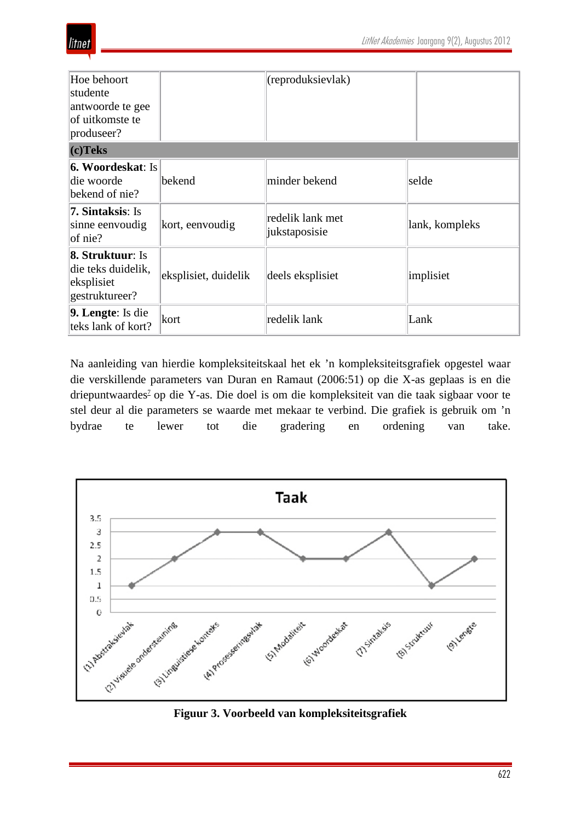| Hoe behoort<br>studente<br>antwoorde te gee<br>of uitkomste te<br>produseer?  |                      | (reproduksievlak)                 |                |
|-------------------------------------------------------------------------------|----------------------|-----------------------------------|----------------|
| $(c)$ Teks                                                                    |                      |                                   |                |
| <b>6. Woordeskat: Is</b><br>die woorde<br>bekend of nie?                      | bekend               | minder bekend                     | selde          |
| <b>7. Sintaksis: Is</b><br>sinne eenvoudig<br>$of$ nie?                       | kort, eenvoudig      | redelik lank met<br>jukstaposisie | lank, kompleks |
| <b>8. Struktuur: Is</b><br>die teks duidelik,<br>eksplisiet<br>gestruktureer? | eksplisiet, duidelik | deels eksplisiet                  | implisiet      |
| 9. Lengte: Is die<br>teks lank of kort?                                       | kort                 | redelik lank                      | Lank           |

Na aanleiding van hierdie kompleksiteitskaal het ek 'n kompleksiteitsgrafiek opgestel waar die verskillende parameters van Duran en Ramaut (2006:51) op die X-as geplaas is en die driepuntwaardes<sup>7</sup> op die Y-as. Die doel is om die kompleksiteit van die taak sigbaar voor te stel deur al die parameters se waarde met mekaar te verbind. Die grafiek is gebruik om 'n bydrae te lewer tot die gradering en ordening van take.

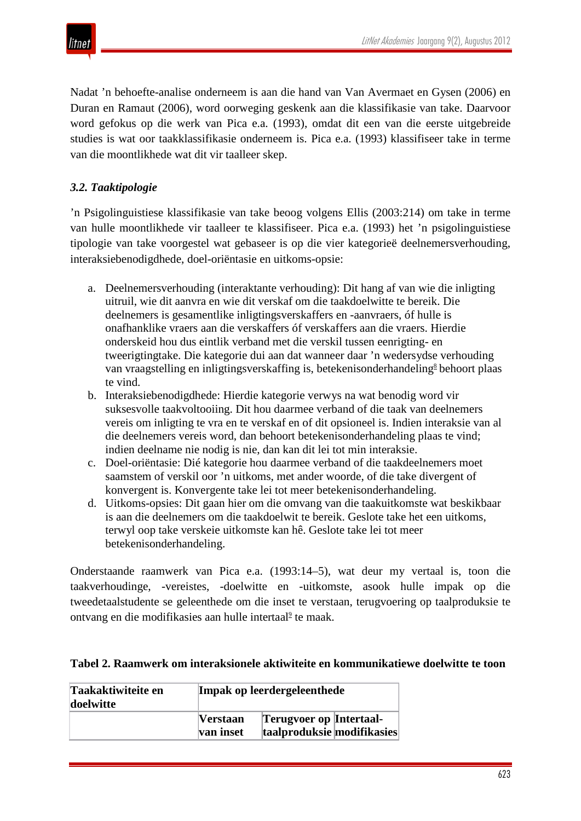

Nadat 'n behoefte-analise onderneem is aan die hand van Van Avermaet en Gysen (2006) en Duran en Ramaut (2006), word oorweging geskenk aan die klassifikasie van take. Daarvoor word gefokus op die werk van Pica e.a. (1993), omdat dit een van die eerste uitgebreide studies is wat oor taakklassifikasie onderneem is. Pica e.a. (1993) klassifiseer take in terme van die moontlikhede wat dit vir taalleer skep.

## *3.2. Taaktipologie*

'n Psigolinguistiese klassifikasie van take beoog volgens Ellis (2003:214) om take in terme van hulle moontlikhede vir taalleer te klassifiseer. Pica e.a. (1993) het 'n psigolinguistiese tipologie van take voorgestel wat gebaseer is op die vier kategorieë deelnemersverhouding, interaksiebenodigdhede, doel-oriëntasie en uitkoms-opsie:

- a. Deelnemersverhouding (interaktante verhouding): Dit hang af van wie die inligting uitruil, wie dit aanvra en wie dit verskaf om die taakdoelwitte te bereik. Die deelnemers is gesamentlike inligtingsverskaffers en -aanvraers, óf hulle is onafhanklike vraers aan die verskaffers óf verskaffers aan die vraers. Hierdie onderskeid hou dus eintlik verband met die verskil tussen eenrigting- en tweerigtingtake. Die kategorie dui aan dat wanneer daar 'n wedersydse verhouding van vraagstelling en inligtingsverskaffing is, betekenisonderhandeling<sup>8</sup> behoort plaas te vind.
- b. Interaksiebenodigdhede: Hierdie kategorie verwys na wat benodig word vir suksesvolle taakvoltooiing. Dit hou daarmee verband of die taak van deelnemers vereis om inligting te vra en te verskaf en of dit opsioneel is. Indien interaksie van al die deelnemers vereis word, dan behoort betekenisonderhandeling plaas te vind; indien deelname nie nodig is nie, dan kan dit lei tot min interaksie.
- c. Doel-oriëntasie: Dié kategorie hou daarmee verband of die taakdeelnemers moet saamstem of verskil oor 'n uitkoms, met ander woorde, of die take divergent of konvergent is. Konvergente take lei tot meer betekenisonderhandeling.
- d. Uitkoms-opsies: Dit gaan hier om die omvang van die taakuitkomste wat beskikbaar is aan die deelnemers om die taakdoelwit te bereik. Geslote take het een uitkoms, terwyl oop take verskeie uitkomste kan hê. Geslote take lei tot meer betekenisonderhandeling.

Onderstaande raamwerk van Pica e.a. (1993:14–5), wat deur my vertaal is, toon die taakverhoudinge, -vereistes, -doelwitte en -uitkomste, asook hulle impak op die tweedetaalstudente se geleenthede om die inset te verstaan, terugvoering op taalproduksie te ontvang en die modifikasies aan hulle intertaal<sup>2</sup> te maak.

### **Tabel 2. Raamwerk om interaksionele aktiwiteite en kommunikatiewe doelwitte te toon**

| Taakaktiwiteite en<br>doelwitte |                              | Impak op leerdergeleenthede                                  |  |  |  |  |
|---------------------------------|------------------------------|--------------------------------------------------------------|--|--|--|--|
|                                 | <b>Verstaan</b><br>van inset | <b>Terugvoer op Intertaal-</b><br>taalproduksie modifikasies |  |  |  |  |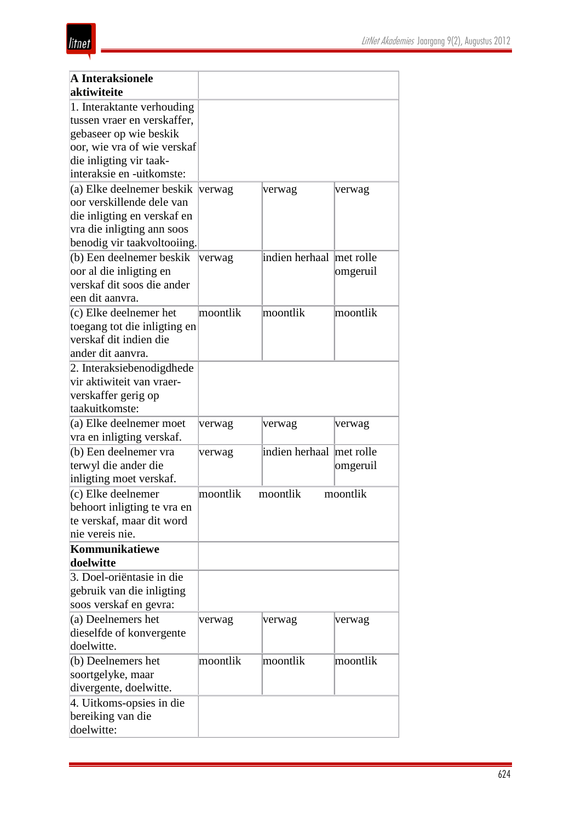| <b>A</b> Interaksionele<br>aktiwiteite |          |                          |          |
|----------------------------------------|----------|--------------------------|----------|
| 1. Interaktante verhouding             |          |                          |          |
| tussen vraer en verskaffer.            |          |                          |          |
| gebaseer op wie beskik                 |          |                          |          |
| oor, wie vra of wie verskaf            |          |                          |          |
| die inligting vir taak-                |          |                          |          |
| interaksie en -uitkomste:              |          |                          |          |
| (a) Elke deelnemer beskik              | verwag   | verwag                   | verwag   |
| oor verskillende dele van              |          |                          |          |
| die inligting en verskaf en            |          |                          |          |
| vra die inligting ann soos             |          |                          |          |
| benodig vir taakvoltooiing.            |          |                          |          |
| (b) Een deelnemer beskik               | verwag   | indien herhaal met rolle |          |
| oor al die inligting en                |          |                          | omgeruil |
| verskaf dit soos die ander             |          |                          |          |
| een dit aanvra.                        |          |                          |          |
| (c) Elke deelnemer het                 | moontlik | moontlik                 | moontlik |
| toegang tot die inligting en           |          |                          |          |
| verskaf dit indien die                 |          |                          |          |
| ander dit aanvra.                      |          |                          |          |
| 2. Interaksiebenodigdhede              |          |                          |          |
| vir aktiwiteit van vraer-              |          |                          |          |
| verskaffer gerig op                    |          |                          |          |
| taakuitkomste:                         |          |                          |          |
| (a) Elke deelnemer moet                | verwag   | verwag                   | verwag   |
| vra en inligting verskaf.              |          |                          |          |
| (b) Een deelnemer vra                  | verwag   | indien herhaal met rolle |          |
| terwyl die ander die                   |          |                          | omgeruil |
| inligting moet verskaf.                |          |                          |          |
| (c) Elke deelnemer                     | moontlik | moontlik                 | moontlik |
| behoort inligting te vra en            |          |                          |          |
| te verskaf, maar dit word              |          |                          |          |
| nie vereis nie.                        |          |                          |          |
| Kommunikatiewe                         |          |                          |          |
| doelwitte                              |          |                          |          |
| 3. Doel-oriëntasie in die              |          |                          |          |
| gebruik van die inligting              |          |                          |          |
| soos verskaf en gevra:                 |          |                          |          |
| (a) Deelnemers het                     | verwag   | verwag                   | verwag   |
| dieselfde of konvergente               |          |                          |          |
| doelwitte.                             |          |                          |          |
| (b) Deelnemers het                     | moontlik | moontlik                 | moontlik |
| soortgelyke, maar                      |          |                          |          |
| divergente, doelwitte.                 |          |                          |          |
| 4. Uitkoms-opsies in die               |          |                          |          |
| bereiking van die                      |          |                          |          |
| doelwitte:                             |          |                          |          |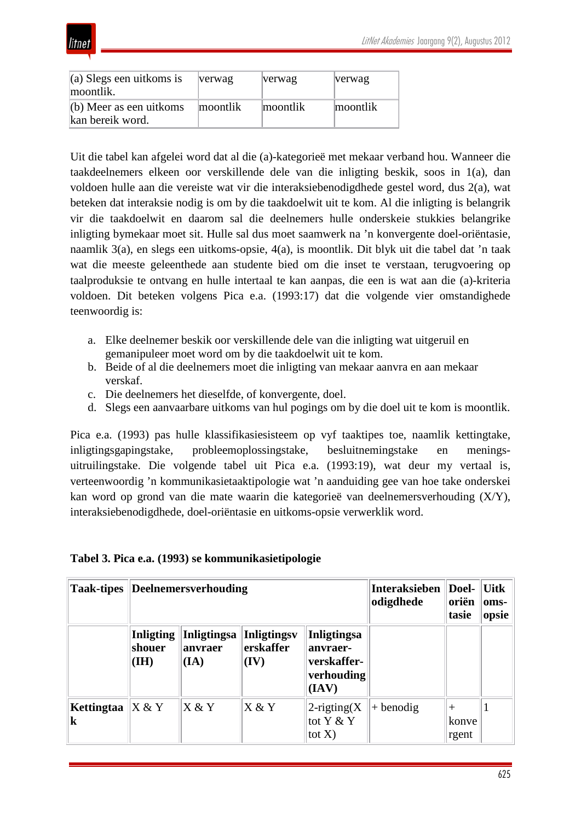

| $(a)$ Slegs een uitkoms is<br>moontlik.       | verwag   | verwag   | verwag   |
|-----------------------------------------------|----------|----------|----------|
| $(b)$ Meer as een uitkoms<br>kan bereik word. | moontlik | moontlik | moontlik |

Uit die tabel kan afgelei word dat al die (a)-kategorieë met mekaar verband hou. Wanneer die taakdeelnemers elkeen oor verskillende dele van die inligting beskik, soos in 1(a), dan voldoen hulle aan die vereiste wat vir die interaksiebenodigdhede gestel word, dus 2(a), wat beteken dat interaksie nodig is om by die taakdoelwit uit te kom. Al die inligting is belangrik vir die taakdoelwit en daarom sal die deelnemers hulle onderskeie stukkies belangrike inligting bymekaar moet sit. Hulle sal dus moet saamwerk na 'n konvergente doel-oriëntasie, naamlik 3(a), en slegs een uitkoms-opsie, 4(a), is moontlik. Dit blyk uit die tabel dat 'n taak wat die meeste geleenthede aan studente bied om die inset te verstaan, terugvoering op taalproduksie te ontvang en hulle intertaal te kan aanpas, die een is wat aan die (a)-kriteria voldoen. Dit beteken volgens Pica e.a. (1993:17) dat die volgende vier omstandighede teenwoordig is:

- a. Elke deelnemer beskik oor verskillende dele van die inligting wat uitgeruil en gemanipuleer moet word om by die taakdoelwit uit te kom.
- b. Beide of al die deelnemers moet die inligting van mekaar aanvra en aan mekaar verskaf.
- c. Die deelnemers het dieselfde, of konvergente, doel.
- d. Slegs een aanvaarbare uitkoms van hul pogings om by die doel uit te kom is moontlik.

Pica e.a. (1993) pas hulle klassifikasiesisteem op vyf taaktipes toe, naamlik kettingtake, inligtingsgapingstake, probleemoplossingstake, besluitnemingstake en meningsuitruilingstake. Die volgende tabel uit Pica e.a. (1993:19), wat deur my vertaal is, verteenwoordig 'n kommunikasietaaktipologie wat 'n aanduiding gee van hoe take onderskei kan word op grond van die mate waarin die kategorieë van deelnemersverhouding (X/Y), interaksiebenodigdhede, doel-oriëntasie en uitkoms-opsie verwerklik word.

| <b>Taak-tipes</b>     | <b>Deelnemersverhouding</b>         |                                       |                                         | <b>Interaksieben</b><br>odigdhede                                    | Doel-<br>oriën<br>tasie | <b>Uitk</b><br>oms-<br>opsie |  |
|-----------------------|-------------------------------------|---------------------------------------|-----------------------------------------|----------------------------------------------------------------------|-------------------------|------------------------------|--|
|                       | <b>Inligting</b><br>shouer<br>(III) | <b>Inligtingsa</b><br>anvraer<br>(IA) | <b>Inligtingsy</b><br>erskaffer<br>(IV) | <b>Inligtingsa</b><br>anvraer-<br>verskaffer-<br>verhouding<br>(IAV) |                         |                              |  |
| Kettingtaa<br>$\bf k$ | X & Y                               | X & Y                                 | X & Y                                   | 2-rigting $(X)$<br>tot $Y & Y$<br>tot $X$ )                          | $+$ benodig             | $^+$<br>konve<br>rgent       |  |

### **Tabel 3. Pica e.a. (1993) se kommunikasietipologie**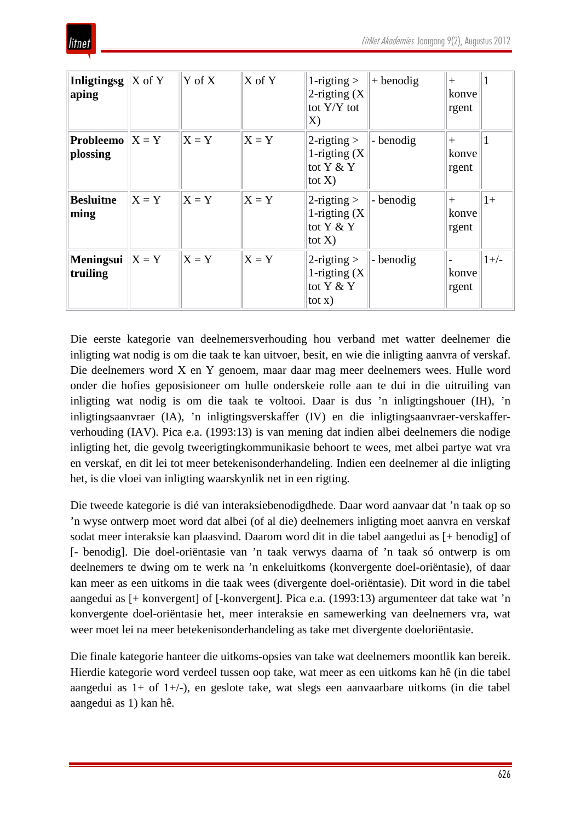

| Inligtingsg<br>aping                   | $X$ of Y | $\overline{Y}$ of X | $X$ of $Y$ | 1-rigting $>$<br>2-rigting $(X)$<br>tot $Y/Y$ tot<br>$\mathbf{X}$ | $+$ benodig | $^{+}$<br>konve<br>rgent |        |
|----------------------------------------|----------|---------------------|------------|-------------------------------------------------------------------|-------------|--------------------------|--------|
| <b>Probleemo</b> $ X = Y $<br>plossing |          | $X = Y$             | $X = Y$    | $2$ -rigting $>$<br>1-rigting $(X)$<br>tot Y & Y<br>tot $X$ )     | - benodig   | $^{+}$<br>konve<br>rgent |        |
| <b>Besluitne</b><br>ming               | $X = Y$  | $X = Y$             | $X = Y$    | $2$ -rigting $>$<br>1-rigting $(X)$<br>tot $Y & Y$<br>tot $X$ )   | - benodig   | $+$<br>konve<br>rgent    | $1+$   |
| <b>Meningsui</b> $ X = Y $<br>truiling |          | $X = Y$             | $X = Y$    | $2$ -rigting $>$<br>1-rigting $(X)$<br>tot $Y & Y$<br>$\cot x$ )  | - benodig   | konve<br>rgent           | $1+/-$ |

Die eerste kategorie van deelnemersverhouding hou verband met watter deelnemer die inligting wat nodig is om die taak te kan uitvoer, besit, en wie die inligting aanvra of verskaf. Die deelnemers word X en Y genoem, maar daar mag meer deelnemers wees. Hulle word onder die hofies geposisioneer om hulle onderskeie rolle aan te dui in die uitruiling van inligting wat nodig is om die taak te voltooi. Daar is dus 'n inligtingshouer (IH), 'n inligtingsaanvraer (IA), 'n inligtingsverskaffer (IV) en die inligtingsaanvraer-verskafferverhouding (IAV). Pica e.a. (1993:13) is van mening dat indien albei deelnemers die nodige inligting het, die gevolg tweerigtingkommunikasie behoort te wees, met albei partye wat vra en verskaf, en dit lei tot meer betekenisonderhandeling. Indien een deelnemer al die inligting het, is die vloei van inligting waarskynlik net in een rigting.

Die tweede kategorie is dié van interaksiebenodigdhede. Daar word aanvaar dat 'n taak op so 'n wyse ontwerp moet word dat albei (of al die) deelnemers inligting moet aanvra en verskaf sodat meer interaksie kan plaasvind. Daarom word dit in die tabel aangedui as [+ benodig] of [- benodig]. Die doel-oriëntasie van 'n taak verwys daarna of 'n taak só ontwerp is om deelnemers te dwing om te werk na 'n enkeluitkoms (konvergente doel-oriëntasie), of daar kan meer as een uitkoms in die taak wees (divergente doel-oriëntasie). Dit word in die tabel aangedui as [+ konvergent] of [-konvergent]. Pica e.a. (1993:13) argumenteer dat take wat 'n konvergente doel-oriëntasie het, meer interaksie en samewerking van deelnemers vra, wat weer moet lei na meer betekenisonderhandeling as take met divergente doeloriëntasie.

Die finale kategorie hanteer die uitkoms-opsies van take wat deelnemers moontlik kan bereik. Hierdie kategorie word verdeel tussen oop take, wat meer as een uitkoms kan hê (in die tabel aangedui as 1+ of 1+/-), en geslote take, wat slegs een aanvaarbare uitkoms (in die tabel aangedui as 1) kan hê.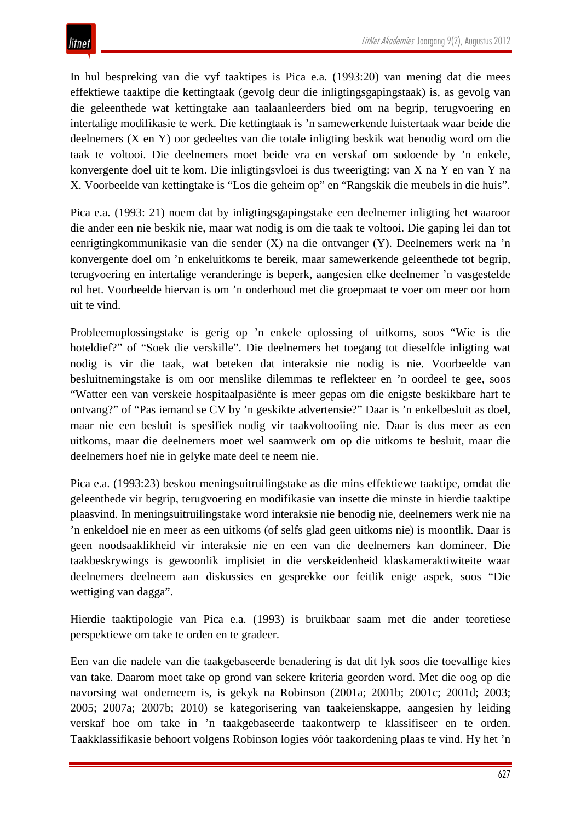In hul bespreking van die vyf taaktipes is Pica e.a. (1993:20) van mening dat die mees effektiewe taaktipe die kettingtaak (gevolg deur die inligtingsgapingstaak) is, as gevolg van die geleenthede wat kettingtake aan taalaanleerders bied om na begrip, terugvoering en intertalige modifikasie te werk. Die kettingtaak is 'n samewerkende luistertaak waar beide die deelnemers (X en Y) oor gedeeltes van die totale inligting beskik wat benodig word om die taak te voltooi. Die deelnemers moet beide vra en verskaf om sodoende by 'n enkele, konvergente doel uit te kom. Die inligtingsvloei is dus tweerigting: van X na Y en van Y na X. Voorbeelde van kettingtake is "Los die geheim op" en "Rangskik die meubels in die huis".

Pica e.a. (1993: 21) noem dat by inligtingsgapingstake een deelnemer inligting het waaroor die ander een nie beskik nie, maar wat nodig is om die taak te voltooi. Die gaping lei dan tot eenrigtingkommunikasie van die sender (X) na die ontvanger (Y). Deelnemers werk na 'n konvergente doel om 'n enkeluitkoms te bereik, maar samewerkende geleenthede tot begrip, terugvoering en intertalige veranderinge is beperk, aangesien elke deelnemer 'n vasgestelde rol het. Voorbeelde hiervan is om 'n onderhoud met die groepmaat te voer om meer oor hom uit te vind.

Probleemoplossingstake is gerig op 'n enkele oplossing of uitkoms, soos "Wie is die hoteldief?" of "Soek die verskille". Die deelnemers het toegang tot dieselfde inligting wat nodig is vir die taak, wat beteken dat interaksie nie nodig is nie. Voorbeelde van besluitnemingstake is om oor menslike dilemmas te reflekteer en 'n oordeel te gee, soos "Watter een van verskeie hospitaalpasiënte is meer gepas om die enigste beskikbare hart te ontvang?" of "Pas iemand se CV by 'n geskikte advertensie?" Daar is 'n enkelbesluit as doel, maar nie een besluit is spesifiek nodig vir taakvoltooiing nie. Daar is dus meer as een uitkoms, maar die deelnemers moet wel saamwerk om op die uitkoms te besluit, maar die deelnemers hoef nie in gelyke mate deel te neem nie.

Pica e.a. (1993:23) beskou meningsuitruilingstake as die mins effektiewe taaktipe, omdat die geleenthede vir begrip, terugvoering en modifikasie van insette die minste in hierdie taaktipe plaasvind. In meningsuitruilingstake word interaksie nie benodig nie, deelnemers werk nie na 'n enkeldoel nie en meer as een uitkoms (of selfs glad geen uitkoms nie) is moontlik. Daar is geen noodsaaklikheid vir interaksie nie en een van die deelnemers kan domineer. Die taakbeskrywings is gewoonlik implisiet in die verskeidenheid klaskameraktiwiteite waar deelnemers deelneem aan diskussies en gesprekke oor feitlik enige aspek, soos "Die wettiging van dagga".

Hierdie taaktipologie van Pica e.a. (1993) is bruikbaar saam met die ander teoretiese perspektiewe om take te orden en te gradeer.

Een van die nadele van die taakgebaseerde benadering is dat dit lyk soos die toevallige kies van take. Daarom moet take op grond van sekere kriteria georden word. Met die oog op die navorsing wat onderneem is, is gekyk na Robinson (2001a; 2001b; 2001c; 2001d; 2003; 2005; 2007a; 2007b; 2010) se kategorisering van taakeienskappe, aangesien hy leiding verskaf hoe om take in 'n taakgebaseerde taakontwerp te klassifiseer en te orden. Taakklassifikasie behoort volgens Robinson logies vóór taakordening plaas te vind. Hy het 'n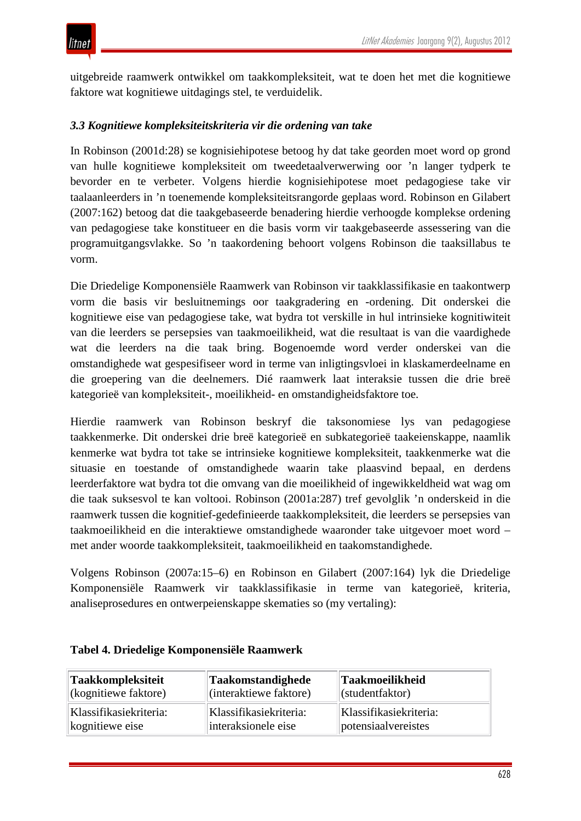uitgebreide raamwerk ontwikkel om taakkompleksiteit, wat te doen het met die kognitiewe faktore wat kognitiewe uitdagings stel, te verduidelik.

## *3.3 Kognitiewe kompleksiteitskriteria vir die ordening van take*

In Robinson (2001d:28) se kognisiehipotese betoog hy dat take georden moet word op grond van hulle kognitiewe kompleksiteit om tweedetaalverwerwing oor 'n langer tydperk te bevorder en te verbeter. Volgens hierdie kognisiehipotese moet pedagogiese take vir taalaanleerders in 'n toenemende kompleksiteitsrangorde geplaas word. Robinson en Gilabert (2007:162) betoog dat die taakgebaseerde benadering hierdie verhoogde komplekse ordening van pedagogiese take konstitueer en die basis vorm vir taakgebaseerde assessering van die programuitgangsvlakke. So 'n taakordening behoort volgens Robinson die taaksillabus te vorm.

Die Driedelige Komponensiële Raamwerk van Robinson vir taakklassifikasie en taakontwerp vorm die basis vir besluitnemings oor taakgradering en -ordening. Dit onderskei die kognitiewe eise van pedagogiese take, wat bydra tot verskille in hul intrinsieke kognitiwiteit van die leerders se persepsies van taakmoeilikheid, wat die resultaat is van die vaardighede wat die leerders na die taak bring. Bogenoemde word verder onderskei van die omstandighede wat gespesifiseer word in terme van inligtingsvloei in klaskamerdeelname en die groepering van die deelnemers. Dié raamwerk laat interaksie tussen die drie breë kategorieë van kompleksiteit-, moeilikheid- en omstandigheidsfaktore toe.

Hierdie raamwerk van Robinson beskryf die taksonomiese lys van pedagogiese taakkenmerke. Dit onderskei drie breë kategorieë en subkategorieë taakeienskappe, naamlik kenmerke wat bydra tot take se intrinsieke kognitiewe kompleksiteit, taakkenmerke wat die situasie en toestande of omstandighede waarin take plaasvind bepaal, en derdens leerderfaktore wat bydra tot die omvang van die moeilikheid of ingewikkeldheid wat wag om die taak suksesvol te kan voltooi. Robinson (2001a:287) tref gevolglik 'n onderskeid in die raamwerk tussen die kognitief-gedefinieerde taakkompleksiteit, die leerders se persepsies van taakmoeilikheid en die interaktiewe omstandighede waaronder take uitgevoer moet word – met ander woorde taakkompleksiteit, taakmoeilikheid en taakomstandighede.

Volgens Robinson (2007a:15–6) en Robinson en Gilabert (2007:164) lyk die Driedelige Komponensiële Raamwerk vir taakklassifikasie in terme van kategorieë, kriteria, analiseprosedures en ontwerpeienskappe skematies so (my vertaling):

| <b>Taakkompleksiteit</b>     | <b>Taakomstandighede</b> | Taakmoeilikheid        |
|------------------------------|--------------------------|------------------------|
| $\vert$ (kognitiewe faktore) | (interaktiewe faktore)   | $\ $ (studentfaktor)   |
| Klassifikasiekriteria:       | Klassifikasiekriteria:   | Klassifikasiekriteria: |
| kognitiewe eise              | interaksionele eise      | potensiaalvereistes    |

#### **Tabel 4. Driedelige Komponensiële Raamwerk**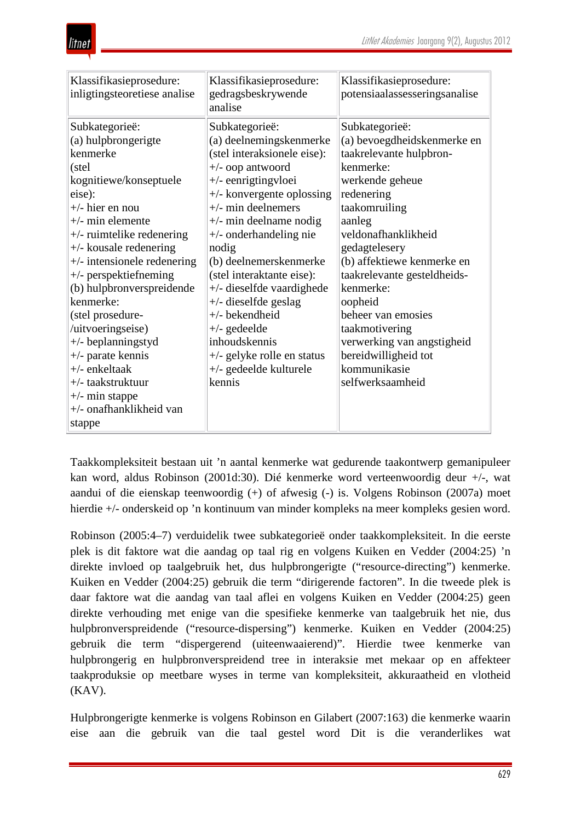

| Klassifikasieprosedure:<br>inligtingsteoretiese analise                                                                                                                                                                                                                                                                                                                                                                                                                                                             | Klassifikasieprosedure:<br>gedragsbeskrywende<br>analise                                                                                                                                                                                                                                                                                                                                                                                                                                                       | Klassifikasieprosedure:<br>potensiaalassesseringsanalise                                                                                                                                                                                                                                                                                                                                                         |
|---------------------------------------------------------------------------------------------------------------------------------------------------------------------------------------------------------------------------------------------------------------------------------------------------------------------------------------------------------------------------------------------------------------------------------------------------------------------------------------------------------------------|----------------------------------------------------------------------------------------------------------------------------------------------------------------------------------------------------------------------------------------------------------------------------------------------------------------------------------------------------------------------------------------------------------------------------------------------------------------------------------------------------------------|------------------------------------------------------------------------------------------------------------------------------------------------------------------------------------------------------------------------------------------------------------------------------------------------------------------------------------------------------------------------------------------------------------------|
| Subkategorieë:<br>(a) hulpbrongerigte<br>kenmerke<br>(stel<br>kognitiewe/konseptuele<br>eise):<br>$+/-$ hier en nou<br>$+/-$ min elemente<br>$+\prime$ - ruimtelike redenering<br>$+\prime$ - kousale redenering<br>$+\prime$ - intensionele redenering<br>+/- perspektiefneming<br>(b) hulpbronverspreidende<br>kenmerke:<br>(stel prosedure-<br>/uitvoeringseise)<br>+/- beplanningstyd<br>$+\prime$ - parate kennis<br>$+/-$ enkeltaak<br>+/- taakstruktuur<br>$+\prime$ - min stappe<br>+/- onafhanklikheid van | Subkategorieë:<br>(a) deelnemingskenmerke<br>(stel interaksionele eise):<br>$+\prime$ - oop antwoord<br>+/- eenrigtingvloei<br>+/- konvergente oplossing<br>$+\prime$ - min deelnemers<br>$+\prime$ - min deelname nodig<br>$+\prime$ - onderhandeling nie<br>nodig<br>(b) deelnemerskenmerke<br>(stel interaktante eise):<br>+/- dieselfde vaardighede<br>$+\prime$ - dieselfde geslag<br>+/- bekendheid<br>$+/-$ gedeelde<br>inhoudskennis<br>+/- gelyke rolle en status<br>+/- gedeelde kulturele<br>kennis | Subkategorieë:<br>(a) bevoegdheidskenmerke en<br>taakrelevante hulpbron-<br>kenmerke:<br>werkende geheue<br>redenering<br>taakomruiling<br>aanleg<br>veldonafhanklikheid<br>gedagtelesery<br>(b) affektiewe kenmerke en<br>taakrelevante gesteldheids-<br>kenmerke:<br>oopheid<br>beheer van emosies<br>taakmotivering<br>verwerking van angstigheid<br>bereidwilligheid tot<br>kommunikasie<br>selfwerksaamheid |
| stappe                                                                                                                                                                                                                                                                                                                                                                                                                                                                                                              |                                                                                                                                                                                                                                                                                                                                                                                                                                                                                                                |                                                                                                                                                                                                                                                                                                                                                                                                                  |

Taakkompleksiteit bestaan uit 'n aantal kenmerke wat gedurende taakontwerp gemanipuleer kan word, aldus Robinson (2001d:30). Dié kenmerke word verteenwoordig deur +/-, wat aandui of die eienskap teenwoordig (+) of afwesig (-) is. Volgens Robinson (2007a) moet hierdie +/- onderskeid op 'n kontinuum van minder kompleks na meer kompleks gesien word.

Robinson (2005:4–7) verduidelik twee subkategorieë onder taakkompleksiteit. In die eerste plek is dit faktore wat die aandag op taal rig en volgens Kuiken en Vedder (2004:25) 'n direkte invloed op taalgebruik het, dus hulpbrongerigte ("resource-directing") kenmerke. Kuiken en Vedder (2004:25) gebruik die term "dirigerende factoren". In die tweede plek is daar faktore wat die aandag van taal aflei en volgens Kuiken en Vedder (2004:25) geen direkte verhouding met enige van die spesifieke kenmerke van taalgebruik het nie, dus hulpbronverspreidende ("resource-dispersing") kenmerke. Kuiken en Vedder (2004:25) gebruik die term "dispergerend (uiteenwaaierend)". Hierdie twee kenmerke van hulpbrongerig en hulpbronverspreidend tree in interaksie met mekaar op en affekteer taakproduksie op meetbare wyses in terme van kompleksiteit, akkuraatheid en vlotheid (KAV).

Hulpbrongerigte kenmerke is volgens Robinson en Gilabert (2007:163) die kenmerke waarin eise aan die gebruik van die taal gestel word Dit is die veranderlikes wat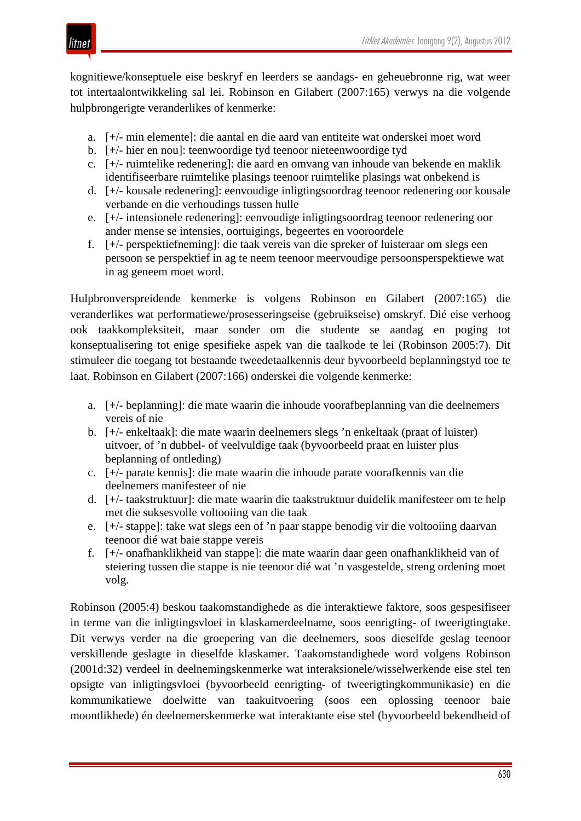

kognitiewe/konseptuele eise beskryf en leerders se aandags- en geheuebronne rig, wat weer tot intertaalontwikkeling sal lei. Robinson en Gilabert (2007:165) verwys na die volgende hulpbrongerigte veranderlikes of kenmerke:

- a. [+/- min elemente]: die aantal en die aard van entiteite wat onderskei moet word
- b. [+/- hier en nou]: teenwoordige tyd teenoor nieteenwoordige tyd
- c. [+/- ruimtelike redenering]: die aard en omvang van inhoude van bekende en maklik identifiseerbare ruimtelike plasings teenoor ruimtelike plasings wat onbekend is
- d. [+/- kousale redenering]: eenvoudige inligtingsoordrag teenoor redenering oor kousale verbande en die verhoudings tussen hulle
- e. [+/- intensionele redenering]: eenvoudige inligtingsoordrag teenoor redenering oor ander mense se intensies, oortuigings, begeertes en vooroordele
- f. [+/- perspektiefneming]: die taak vereis van die spreker of luisteraar om slegs een persoon se perspektief in ag te neem teenoor meervoudige persoonsperspektiewe wat in ag geneem moet word.

Hulpbronverspreidende kenmerke is volgens Robinson en Gilabert (2007:165) die veranderlikes wat performatiewe/prosesseringseise (gebruikseise) omskryf. Dié eise verhoog ook taakkompleksiteit, maar sonder om die studente se aandag en poging tot konseptualisering tot enige spesifieke aspek van die taalkode te lei (Robinson 2005:7). Dit stimuleer die toegang tot bestaande tweedetaalkennis deur byvoorbeeld beplanningstyd toe te laat. Robinson en Gilabert (2007:166) onderskei die volgende kenmerke:

- a. [+/- beplanning]: die mate waarin die inhoude voorafbeplanning van die deelnemers vereis of nie
- b. [+/- enkeltaak]: die mate waarin deelnemers slegs 'n enkeltaak (praat of luister) uitvoer, of 'n dubbel- of veelvuldige taak (byvoorbeeld praat en luister plus beplanning of ontleding)
- c. [+/- parate kennis]: die mate waarin die inhoude parate voorafkennis van die deelnemers manifesteer of nie
- d. [+/- taakstruktuur]: die mate waarin die taakstruktuur duidelik manifesteer om te help met die suksesvolle voltooiing van die taak
- e. [+/- stappe]: take wat slegs een of 'n paar stappe benodig vir die voltooiing daarvan teenoor dié wat baie stappe vereis
- f. [+/- onafhanklikheid van stappe]: die mate waarin daar geen onafhanklikheid van of steiering tussen die stappe is nie teenoor dié wat 'n vasgestelde, streng ordening moet volg.

Robinson (2005:4) beskou taakomstandighede as die interaktiewe faktore, soos gespesifiseer in terme van die inligtingsvloei in klaskamerdeelname, soos eenrigting- of tweerigtingtake. Dit verwys verder na die groepering van die deelnemers, soos dieselfde geslag teenoor verskillende geslagte in dieselfde klaskamer. Taakomstandighede word volgens Robinson (2001d:32) verdeel in deelnemingskenmerke wat interaksionele/wisselwerkende eise stel ten opsigte van inligtingsvloei (byvoorbeeld eenrigting- of tweerigtingkommunikasie) en die kommunikatiewe doelwitte van taakuitvoering (soos een oplossing teenoor baie moontlikhede) én deelnemerskenmerke wat interaktante eise stel (byvoorbeeld bekendheid of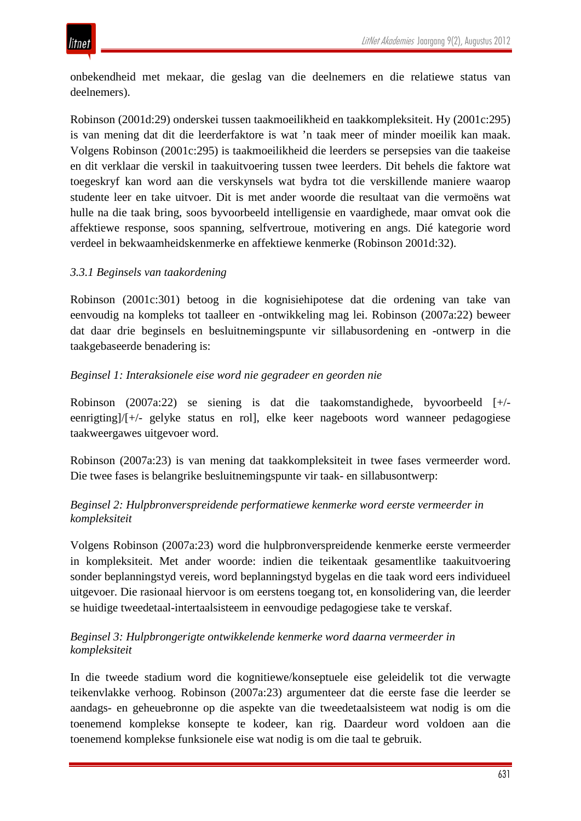

onbekendheid met mekaar, die geslag van die deelnemers en die relatiewe status van deelnemers).

Robinson (2001d:29) onderskei tussen taakmoeilikheid en taakkompleksiteit. Hy (2001c:295) is van mening dat dit die leerderfaktore is wat 'n taak meer of minder moeilik kan maak. Volgens Robinson (2001c:295) is taakmoeilikheid die leerders se persepsies van die taakeise en dit verklaar die verskil in taakuitvoering tussen twee leerders. Dit behels die faktore wat toegeskryf kan word aan die verskynsels wat bydra tot die verskillende maniere waarop studente leer en take uitvoer. Dit is met ander woorde die resultaat van die vermoëns wat hulle na die taak bring, soos byvoorbeeld intelligensie en vaardighede, maar omvat ook die affektiewe response, soos spanning, selfvertroue, motivering en angs. Dié kategorie word verdeel in bekwaamheidskenmerke en affektiewe kenmerke (Robinson 2001d:32).

### *3.3.1 Beginsels van taakordening*

Robinson (2001c:301) betoog in die kognisiehipotese dat die ordening van take van eenvoudig na kompleks tot taalleer en -ontwikkeling mag lei. Robinson (2007a:22) beweer dat daar drie beginsels en besluitnemingspunte vir sillabusordening en -ontwerp in die taakgebaseerde benadering is:

#### *Beginsel 1: Interaksionele eise word nie gegradeer en georden nie*

Robinson (2007a:22) se siening is dat die taakomstandighede, byvoorbeeld [+/ eenrigting]/[+/- gelyke status en rol], elke keer nageboots word wanneer pedagogiese taakweergawes uitgevoer word.

Robinson (2007a:23) is van mening dat taakkompleksiteit in twee fases vermeerder word. Die twee fases is belangrike besluitnemingspunte vir taak- en sillabusontwerp:

## *Beginsel 2: Hulpbronverspreidende performatiewe kenmerke word eerste vermeerder in kompleksiteit*

Volgens Robinson (2007a:23) word die hulpbronverspreidende kenmerke eerste vermeerder in kompleksiteit. Met ander woorde: indien die teikentaak gesamentlike taakuitvoering sonder beplanningstyd vereis, word beplanningstyd bygelas en die taak word eers individueel uitgevoer. Die rasionaal hiervoor is om eerstens toegang tot, en konsolidering van, die leerder se huidige tweedetaal-intertaalsisteem in eenvoudige pedagogiese take te verskaf.

### *Beginsel 3: Hulpbrongerigte ontwikkelende kenmerke word daarna vermeerder in kompleksiteit*

In die tweede stadium word die kognitiewe/konseptuele eise geleidelik tot die verwagte teikenvlakke verhoog. Robinson (2007a:23) argumenteer dat die eerste fase die leerder se aandags- en geheuebronne op die aspekte van die tweedetaalsisteem wat nodig is om die toenemend komplekse konsepte te kodeer, kan rig. Daardeur word voldoen aan die toenemend komplekse funksionele eise wat nodig is om die taal te gebruik.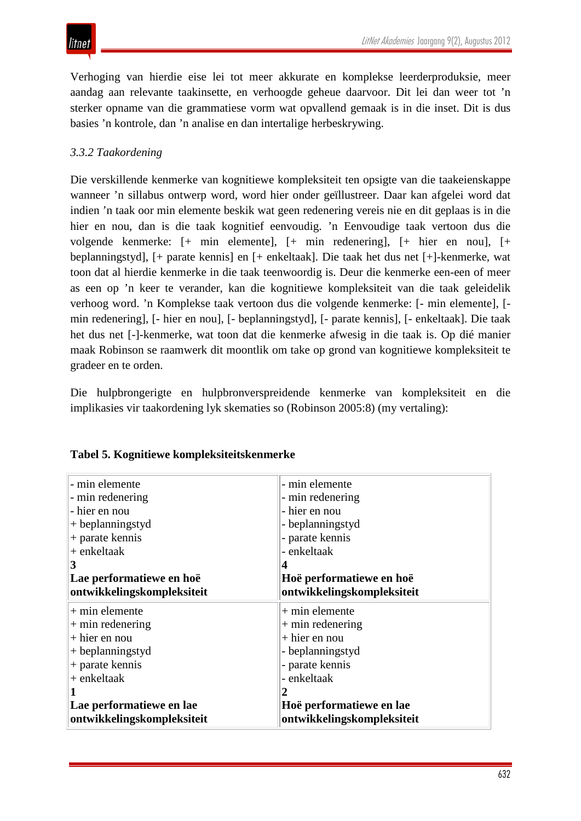Verhoging van hierdie eise lei tot meer akkurate en komplekse leerderproduksie, meer aandag aan relevante taakinsette, en verhoogde geheue daarvoor. Dit lei dan weer tot 'n sterker opname van die grammatiese vorm wat opvallend gemaak is in die inset. Dit is dus basies 'n kontrole, dan 'n analise en dan intertalige herbeskrywing.

## *3.3.2 Taakordening*

Die verskillende kenmerke van kognitiewe kompleksiteit ten opsigte van die taakeienskappe wanneer 'n sillabus ontwerp word, word hier onder geïllustreer. Daar kan afgelei word dat indien 'n taak oor min elemente beskik wat geen redenering vereis nie en dit geplaas is in die hier en nou, dan is die taak kognitief eenvoudig. 'n Eenvoudige taak vertoon dus die volgende kenmerke: [+ min elemente], [+ min redenering], [+ hier en nou], [+ beplanningstyd], [+ parate kennis] en [+ enkeltaak]. Die taak het dus net [+]-kenmerke, wat toon dat al hierdie kenmerke in die taak teenwoordig is. Deur die kenmerke een-een of meer as een op 'n keer te verander, kan die kognitiewe kompleksiteit van die taak geleidelik verhoog word. 'n Komplekse taak vertoon dus die volgende kenmerke: [- min elemente], [ min redenering], [- hier en nou], [- beplanningstyd], [- parate kennis], [- enkeltaak]. Die taak het dus net [-]-kenmerke, wat toon dat die kenmerke afwesig in die taak is. Op dié manier maak Robinson se raamwerk dit moontlik om take op grond van kognitiewe kompleksiteit te gradeer en te orden.

Die hulpbrongerigte en hulpbronverspreidende kenmerke van kompleksiteit en die implikasies vir taakordening lyk skematies so (Robinson 2005:8) (my vertaling):

| - min elemente             | - min elemente             |
|----------------------------|----------------------------|
| - min redenering           | - min redenering           |
| - hier en nou              | - hier en nou              |
| $+$ beplanningstyd         | - beplanningstyd           |
| + parate kennis            | - parate kennis            |
| $+$ enkeltaak              | - enkeltaak                |
| $\vert 3$                  |                            |
| Lae performatiewe en hoë   | Hoë performatiewe en hoë   |
| ontwikkelingskompleksiteit | ontwikkelingskompleksiteit |
| $+$ min elemente           | $+$ min elemente           |
| $+$ min redenering         | $+$ min redenering         |
| $+$ hier en nou            | $+$ hier en nou            |
| $+$ beplanningstyd         | - beplanningstyd           |
| $+$ parate kennis          | - parate kennis            |
| + enkeltaak                | - enkeltaak                |
|                            |                            |
| Lae performatiewe en lae   | Hoë performatiewe en lae   |
| ontwikkelingskompleksiteit | ontwikkelingskompleksiteit |

### **Tabel 5. Kognitiewe kompleksiteitskenmerke**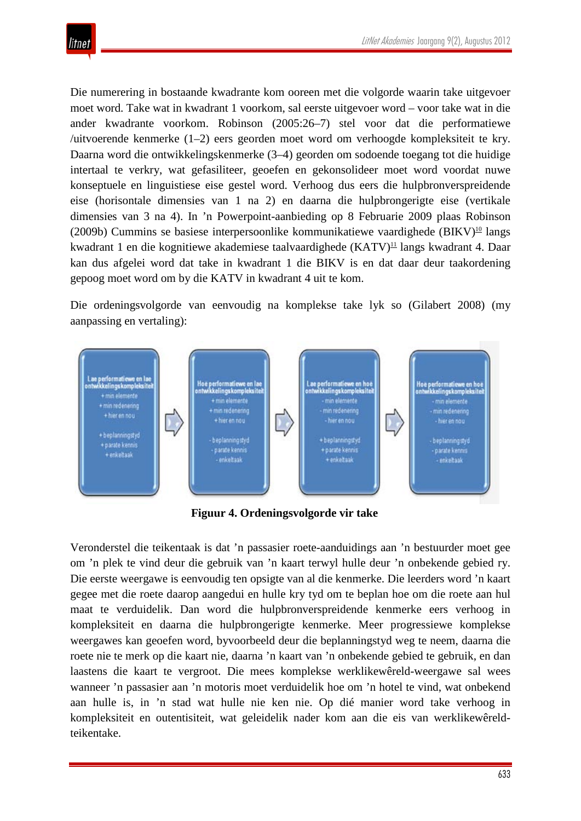

Die numerering in bostaande kwadrante kom ooreen met die volgorde waarin take uitgevoer moet word. Take wat in kwadrant 1 voorkom, sal eerste uitgevoer word – voor take wat in die ander kwadrante voorkom. Robinson (2005:26–7) stel voor dat die performatiewe /uitvoerende kenmerke (1–2) eers georden moet word om verhoogde kompleksiteit te kry. Daarna word die ontwikkelingskenmerke (3–4) georden om sodoende toegang tot die huidige intertaal te verkry, wat gefasiliteer, geoefen en gekonsolideer moet word voordat nuwe konseptuele en linguistiese eise gestel word. Verhoog dus eers die hulpbronverspreidende eise (horisontale dimensies van 1 na 2) en daarna die hulpbrongerigte eise (vertikale dimensies van 3 na 4). In 'n Powerpoint-aanbieding op 8 Februarie 2009 plaas Robinson (2009b) Cummins se basiese interpersoonlike kommunikatiewe vaardighede (BIKV)<sup>10</sup> langs kwadrant 1 en die kognitiewe akademiese taalvaardighede (KATV)<sup>11</sup> langs kwadrant 4. Daar kan dus afgelei word dat take in kwadrant 1 die BIKV is en dat daar deur taakordening gepoog moet word om by die KATV in kwadrant 4 uit te kom.

Die ordeningsvolgorde van eenvoudig na komplekse take lyk so (Gilabert 2008) (my aanpassing en vertaling):



**Figuur 4. Ordeningsvolgorde vir take**

Veronderstel die teikentaak is dat 'n passasier roete-aanduidings aan 'n bestuurder moet gee om 'n plek te vind deur die gebruik van 'n kaart terwyl hulle deur 'n onbekende gebied ry. Die eerste weergawe is eenvoudig ten opsigte van al die kenmerke. Die leerders word 'n kaart gegee met die roete daarop aangedui en hulle kry tyd om te beplan hoe om die roete aan hul maat te verduidelik. Dan word die hulpbronverspreidende kenmerke eers verhoog in kompleksiteit en daarna die hulpbrongerigte kenmerke. Meer progressiewe komplekse weergawes kan geoefen word, byvoorbeeld deur die beplanningstyd weg te neem, daarna die roete nie te merk op die kaart nie, daarna 'n kaart van 'n onbekende gebied te gebruik, en dan laastens die kaart te vergroot. Die mees komplekse werklikewêreld-weergawe sal wees wanneer 'n passasier aan 'n motoris moet verduidelik hoe om 'n hotel te vind, wat onbekend aan hulle is, in 'n stad wat hulle nie ken nie. Op dié manier word take verhoog in kompleksiteit en outentisiteit, wat geleidelik nader kom aan die eis van werklikewêreldteikentake.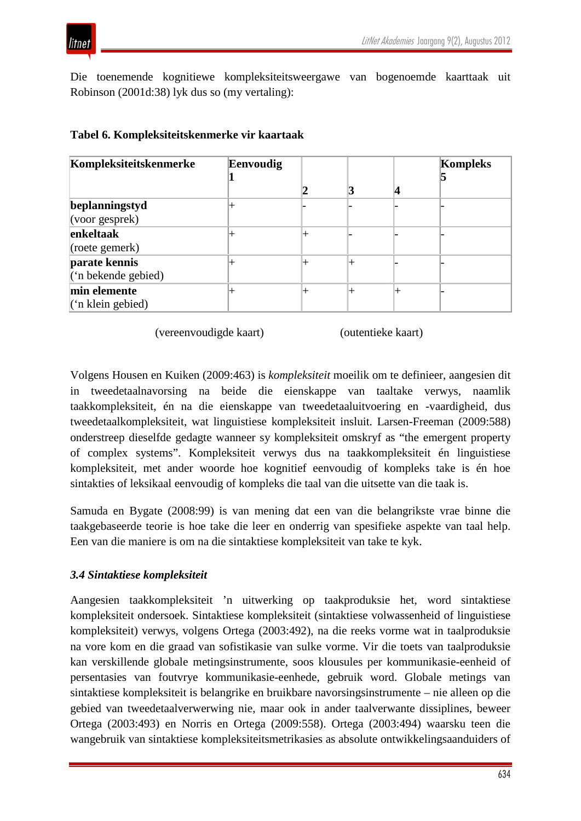Die toenemende kognitiewe kompleksiteitsweergawe van bogenoemde kaarttaak uit Robinson (2001d:38) lyk dus so (my vertaling):

| Kompleksiteitskenmerke  | Eenvoudig |  | Kompleks |
|-------------------------|-----------|--|----------|
|                         |           |  |          |
|                         |           |  |          |
| beplanningstyd          |           |  |          |
| $\vert$ (voor gesprek)  |           |  |          |
| enkeltaak               |           |  |          |
| (roete gemerk)          |           |  |          |
| parate kennis           |           |  |          |
| $($ " n bekende gebied) |           |  |          |
| min elemente            |           |  |          |
| $($ 'n klein gebied)    |           |  |          |

#### **Tabel 6. Kompleksiteitskenmerke vir kaartaak**

(vereenvoudigde kaart) (outentieke kaart)

Volgens Housen en Kuiken (2009:463) is *kompleksiteit* moeilik om te definieer, aangesien dit in tweedetaalnavorsing na beide die eienskappe van taaltake verwys, naamlik taakkompleksiteit, én na die eienskappe van tweedetaaluitvoering en -vaardigheid, dus tweedetaalkompleksiteit, wat linguistiese kompleksiteit insluit. Larsen-Freeman (2009:588) onderstreep dieselfde gedagte wanneer sy kompleksiteit omskryf as "the emergent property of complex systems". Kompleksiteit verwys dus na taakkompleksiteit én linguistiese kompleksiteit, met ander woorde hoe kognitief eenvoudig of kompleks take is én hoe sintakties of leksikaal eenvoudig of kompleks die taal van die uitsette van die taak is.

Samuda en Bygate (2008:99) is van mening dat een van die belangrikste vrae binne die taakgebaseerde teorie is hoe take die leer en onderrig van spesifieke aspekte van taal help. Een van die maniere is om na die sintaktiese kompleksiteit van take te kyk.

### *3.4 Sintaktiese kompleksiteit*

Aangesien taakkompleksiteit 'n uitwerking op taakproduksie het, word sintaktiese kompleksiteit ondersoek. Sintaktiese kompleksiteit (sintaktiese volwassenheid of linguistiese kompleksiteit) verwys, volgens Ortega (2003:492), na die reeks vorme wat in taalproduksie na vore kom en die graad van sofistikasie van sulke vorme. Vir die toets van taalproduksie kan verskillende globale metingsinstrumente, soos klousules per kommunikasie-eenheid of persentasies van foutvrye kommunikasie-eenhede, gebruik word. Globale metings van sintaktiese kompleksiteit is belangrike en bruikbare navorsingsinstrumente – nie alleen op die gebied van tweedetaalverwerwing nie, maar ook in ander taalverwante dissiplines, beweer Ortega (2003:493) en Norris en Ortega (2009:558). Ortega (2003:494) waarsku teen die wangebruik van sintaktiese kompleksiteitsmetrikasies as absolute ontwikkelingsaanduiders of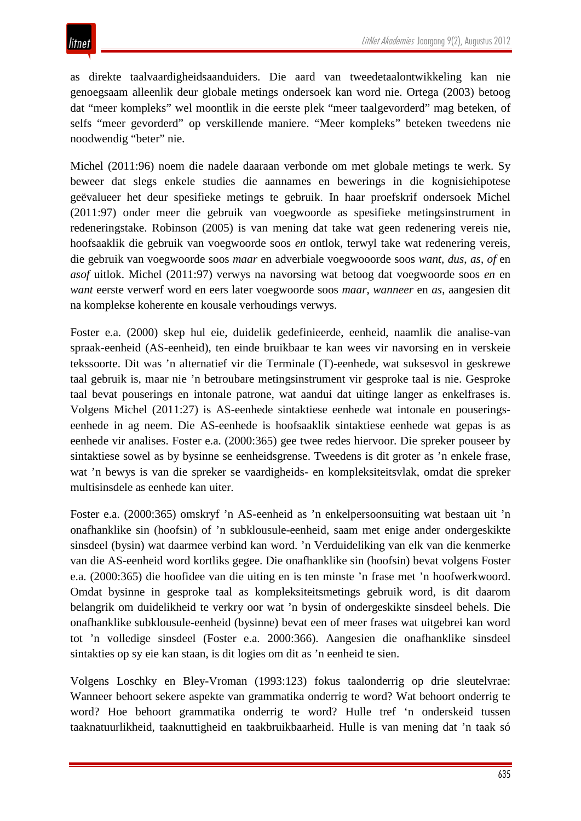as direkte taalvaardigheidsaanduiders. Die aard van tweedetaalontwikkeling kan nie genoegsaam alleenlik deur globale metings ondersoek kan word nie. Ortega (2003) betoog dat "meer kompleks" wel moontlik in die eerste plek "meer taalgevorderd" mag beteken, of selfs "meer gevorderd" op verskillende maniere. "Meer kompleks" beteken tweedens nie noodwendig "beter" nie.

Michel (2011:96) noem die nadele daaraan verbonde om met globale metings te werk. Sy beweer dat slegs enkele studies die aannames en bewerings in die kognisiehipotese geëvalueer het deur spesifieke metings te gebruik. In haar proefskrif ondersoek Michel (2011:97) onder meer die gebruik van voegwoorde as spesifieke metingsinstrument in redeneringstake. Robinson (2005) is van mening dat take wat geen redenering vereis nie, hoofsaaklik die gebruik van voegwoorde soos *en* ontlok, terwyl take wat redenering vereis, die gebruik van voegwoorde soos *maar* en adverbiale voegwooorde soos *want*, *dus*, *as*, *of* en *asof* uitlok. Michel (2011:97) verwys na navorsing wat betoog dat voegwoorde soos *en* en *want* eerste verwerf word en eers later voegwoorde soos *maar*, *wanneer* en *as*, aangesien dit na komplekse koherente en kousale verhoudings verwys.

Foster e.a. (2000) skep hul eie, duidelik gedefinieerde, eenheid, naamlik die analise-van spraak-eenheid (AS-eenheid), ten einde bruikbaar te kan wees vir navorsing en in verskeie tekssoorte. Dit was 'n alternatief vir die Terminale (T)-eenhede, wat suksesvol in geskrewe taal gebruik is, maar nie 'n betroubare metingsinstrument vir gesproke taal is nie. Gesproke taal bevat pouserings en intonale patrone, wat aandui dat uitinge langer as enkelfrases is. Volgens Michel (2011:27) is AS-eenhede sintaktiese eenhede wat intonale en pouseringseenhede in ag neem. Die AS-eenhede is hoofsaaklik sintaktiese eenhede wat gepas is as eenhede vir analises. Foster e.a. (2000:365) gee twee redes hiervoor. Die spreker pouseer by sintaktiese sowel as by bysinne se eenheidsgrense. Tweedens is dit groter as 'n enkele frase, wat 'n bewys is van die spreker se vaardigheids- en kompleksiteitsvlak, omdat die spreker multisinsdele as eenhede kan uiter.

Foster e.a. (2000:365) omskryf 'n AS-eenheid as 'n enkelpersoonsuiting wat bestaan uit 'n onafhanklike sin (hoofsin) of 'n subklousule-eenheid, saam met enige ander ondergeskikte sinsdeel (bysin) wat daarmee verbind kan word. 'n Verduideliking van elk van die kenmerke van die AS-eenheid word kortliks gegee. Die onafhanklike sin (hoofsin) bevat volgens Foster e.a. (2000:365) die hoofidee van die uiting en is ten minste 'n frase met 'n hoofwerkwoord. Omdat bysinne in gesproke taal as kompleksiteitsmetings gebruik word, is dit daarom belangrik om duidelikheid te verkry oor wat 'n bysin of ondergeskikte sinsdeel behels. Die onafhanklike subklousule-eenheid (bysinne) bevat een of meer frases wat uitgebrei kan word tot 'n volledige sinsdeel (Foster e.a. 2000:366). Aangesien die onafhanklike sinsdeel sintakties op sy eie kan staan, is dit logies om dit as 'n eenheid te sien.

Volgens Loschky en Bley-Vroman (1993:123) fokus taalonderrig op drie sleutelvrae: Wanneer behoort sekere aspekte van grammatika onderrig te word? Wat behoort onderrig te word? Hoe behoort grammatika onderrig te word? Hulle tref 'n onderskeid tussen taaknatuurlikheid, taaknuttigheid en taakbruikbaarheid. Hulle is van mening dat 'n taak só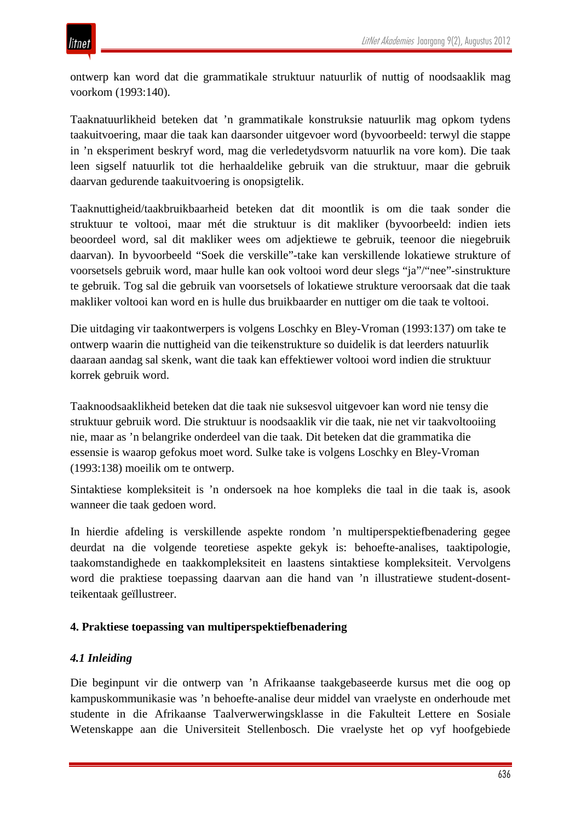ontwerp kan word dat die grammatikale struktuur natuurlik of nuttig of noodsaaklik mag voorkom (1993:140).

Taaknatuurlikheid beteken dat 'n grammatikale konstruksie natuurlik mag opkom tydens taakuitvoering, maar die taak kan daarsonder uitgevoer word (byvoorbeeld: terwyl die stappe in 'n eksperiment beskryf word, mag die verledetydsvorm natuurlik na vore kom). Die taak leen sigself natuurlik tot die herhaaldelike gebruik van die struktuur, maar die gebruik daarvan gedurende taakuitvoering is onopsigtelik.

Taaknuttigheid/taakbruikbaarheid beteken dat dit moontlik is om die taak sonder die struktuur te voltooi, maar mét die struktuur is dit makliker (byvoorbeeld: indien iets beoordeel word, sal dit makliker wees om adjektiewe te gebruik, teenoor die niegebruik daarvan). In byvoorbeeld "Soek die verskille"-take kan verskillende lokatiewe strukture of voorsetsels gebruik word, maar hulle kan ook voltooi word deur slegs "ja"/"nee"-sinstrukture te gebruik. Tog sal die gebruik van voorsetsels of lokatiewe strukture veroorsaak dat die taak makliker voltooi kan word en is hulle dus bruikbaarder en nuttiger om die taak te voltooi.

Die uitdaging vir taakontwerpers is volgens Loschky en Bley-Vroman (1993:137) om take te ontwerp waarin die nuttigheid van die teikenstrukture so duidelik is dat leerders natuurlik daaraan aandag sal skenk, want die taak kan effektiewer voltooi word indien die struktuur korrek gebruik word.

Taaknoodsaaklikheid beteken dat die taak nie suksesvol uitgevoer kan word nie tensy die struktuur gebruik word. Die struktuur is noodsaaklik vir die taak, nie net vir taakvoltooiing nie, maar as 'n belangrike onderdeel van die taak. Dit beteken dat die grammatika die essensie is waarop gefokus moet word. Sulke take is volgens Loschky en Bley-Vroman (1993:138) moeilik om te ontwerp.

Sintaktiese kompleksiteit is 'n ondersoek na hoe kompleks die taal in die taak is, asook wanneer die taak gedoen word.

In hierdie afdeling is verskillende aspekte rondom 'n multiperspektiefbenadering gegee deurdat na die volgende teoretiese aspekte gekyk is: behoefte-analises, taaktipologie, taakomstandighede en taakkompleksiteit en laastens sintaktiese kompleksiteit. Vervolgens word die praktiese toepassing daarvan aan die hand van 'n illustratiewe student-dosentteikentaak geïllustreer.

## **4. Praktiese toepassing van multiperspektiefbenadering**

## *4.1 Inleiding*

Die beginpunt vir die ontwerp van 'n Afrikaanse taakgebaseerde kursus met die oog op kampuskommunikasie was 'n behoefte-analise deur middel van vraelyste en onderhoude met studente in die Afrikaanse Taalverwerwingsklasse in die Fakulteit Lettere en Sosiale Wetenskappe aan die Universiteit Stellenbosch. Die vraelyste het op vyf hoofgebiede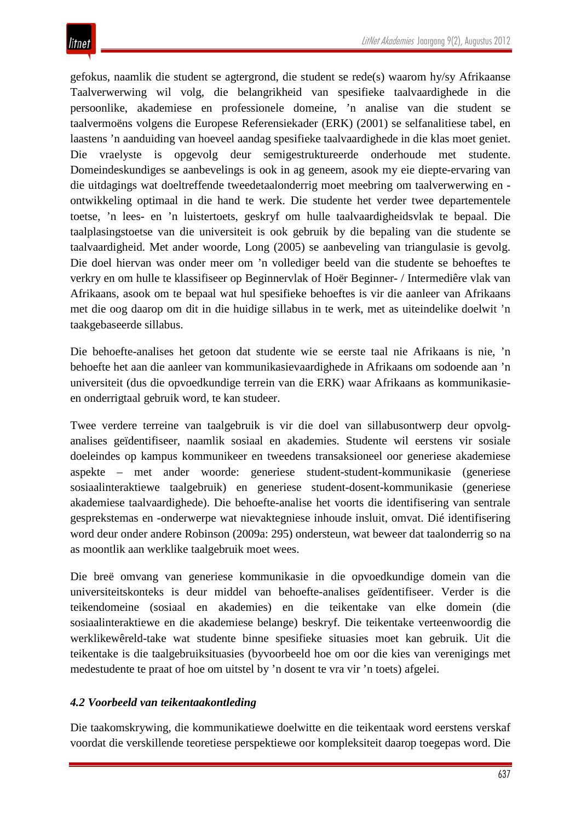gefokus, naamlik die student se agtergrond, die student se rede(s) waarom hy/sy Afrikaanse Taalverwerwing wil volg, die belangrikheid van spesifieke taalvaardighede in die persoonlike, akademiese en professionele domeine, 'n analise van die student se taalvermoëns volgens die Europese Referensiekader (ERK) (2001) se selfanalitiese tabel, en laastens 'n aanduiding van hoeveel aandag spesifieke taalvaardighede in die klas moet geniet. Die vraelyste is opgevolg deur semigestruktureerde onderhoude met studente. Domeindeskundiges se aanbevelings is ook in ag geneem, asook my eie diepte-ervaring van die uitdagings wat doeltreffende tweedetaalonderrig moet meebring om taalverwerwing en ontwikkeling optimaal in die hand te werk. Die studente het verder twee departementele toetse, 'n lees- en 'n luistertoets, geskryf om hulle taalvaardigheidsvlak te bepaal. Die taalplasingstoetse van die universiteit is ook gebruik by die bepaling van die studente se taalvaardigheid. Met ander woorde, Long (2005) se aanbeveling van triangulasie is gevolg. Die doel hiervan was onder meer om 'n vollediger beeld van die studente se behoeftes te verkry en om hulle te klassifiseer op Beginnervlak of Hoër Beginner- / Intermediêre vlak van Afrikaans, asook om te bepaal wat hul spesifieke behoeftes is vir die aanleer van Afrikaans met die oog daarop om dit in die huidige sillabus in te werk, met as uiteindelike doelwit 'n taakgebaseerde sillabus.

Die behoefte-analises het getoon dat studente wie se eerste taal nie Afrikaans is nie, 'n behoefte het aan die aanleer van kommunikasievaardighede in Afrikaans om sodoende aan 'n universiteit (dus die opvoedkundige terrein van die ERK) waar Afrikaans as kommunikasieen onderrigtaal gebruik word, te kan studeer.

Twee verdere terreine van taalgebruik is vir die doel van sillabusontwerp deur opvolganalises geïdentifiseer, naamlik sosiaal en akademies. Studente wil eerstens vir sosiale doeleindes op kampus kommunikeer en tweedens transaksioneel oor generiese akademiese aspekte – met ander woorde: generiese student-student-kommunikasie (generiese sosiaalinteraktiewe taalgebruik) en generiese student-dosent-kommunikasie (generiese akademiese taalvaardighede). Die behoefte-analise het voorts die identifisering van sentrale gesprekstemas en -onderwerpe wat nievaktegniese inhoude insluit, omvat. Dié identifisering word deur onder andere Robinson (2009a: 295) ondersteun, wat beweer dat taalonderrig so na as moontlik aan werklike taalgebruik moet wees.

Die breë omvang van generiese kommunikasie in die opvoedkundige domein van die universiteitskonteks is deur middel van behoefte-analises geïdentifiseer. Verder is die teikendomeine (sosiaal en akademies) en die teikentake van elke domein (die sosiaalinteraktiewe en die akademiese belange) beskryf. Die teikentake verteenwoordig die werklikewêreld-take wat studente binne spesifieke situasies moet kan gebruik. Uit die teikentake is die taalgebruiksituasies (byvoorbeeld hoe om oor die kies van verenigings met medestudente te praat of hoe om uitstel by 'n dosent te vra vir 'n toets) afgelei.

## *4.2 Voorbeeld van teikentaakontleding*

Die taakomskrywing, die kommunikatiewe doelwitte en die teikentaak word eerstens verskaf voordat die verskillende teoretiese perspektiewe oor kompleksiteit daarop toegepas word. Die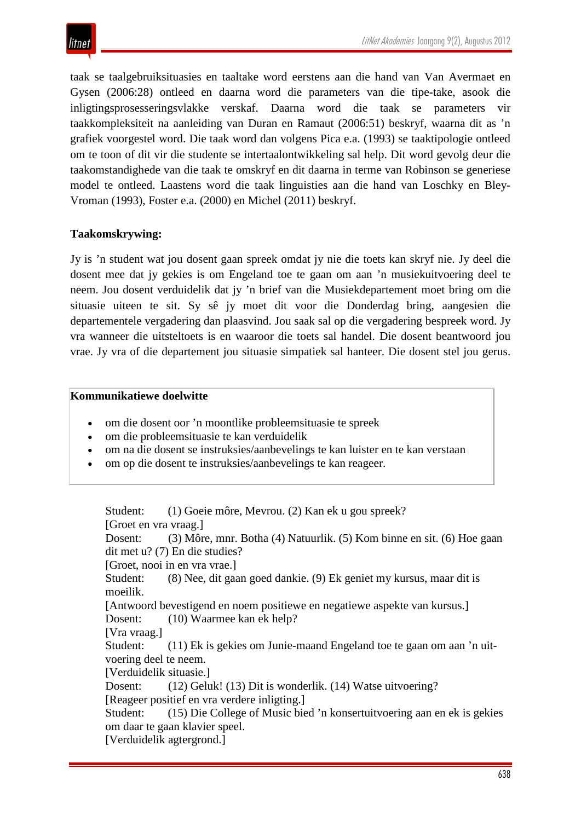taak se taalgebruiksituasies en taaltake word eerstens aan die hand van Van Avermaet en Gysen (2006:28) ontleed en daarna word die parameters van die tipe-take, asook die inligtingsprosesseringsvlakke verskaf. Daarna word die taak se parameters vir taakkompleksiteit na aanleiding van Duran en Ramaut (2006:51) beskryf, waarna dit as 'n grafiek voorgestel word. Die taak word dan volgens Pica e.a. (1993) se taaktipologie ontleed om te toon of dit vir die studente se intertaalontwikkeling sal help. Dit word gevolg deur die taakomstandighede van die taak te omskryf en dit daarna in terme van Robinson se generiese model te ontleed. Laastens word die taak linguisties aan die hand van Loschky en Bley-Vroman (1993), Foster e.a. (2000) en Michel (2011) beskryf.

### **Taakomskrywing:**

Jy is 'n student wat jou dosent gaan spreek omdat jy nie die toets kan skryf nie. Jy deel die dosent mee dat jy gekies is om Engeland toe te gaan om aan 'n musiekuitvoering deel te neem. Jou dosent verduidelik dat jy 'n brief van die Musiekdepartement moet bring om die situasie uiteen te sit. Sy sê jy moet dit voor die Donderdag bring, aangesien die departementele vergadering dan plaasvind. Jou saak sal op die vergadering bespreek word. Jy vra wanneer die uitsteltoets is en waaroor die toets sal handel. Die dosent beantwoord jou vrae. Jy vra of die departement jou situasie simpatiek sal hanteer. Die dosent stel jou gerus.

### **Kommunikatiewe doelwitte**

- om die dosent oor 'n moontlike probleemsituasie te spreek
- om die probleemsituasie te kan verduidelik
- om na die dosent se instruksies/aanbevelings te kan luister en te kan verstaan
- om op die dosent te instruksies/aanbevelings te kan reageer.

Student: (1) Goeie môre, Mevrou. (2) Kan ek u gou spreek? [Groet en vra vraag.] Dosent: (3) Môre, mnr. Botha (4) Natuurlik. (5) Kom binne en sit. (6) Hoe gaan dit met u? (7) En die studies? [Groet, nooi in en vra vrae.] Student: (8) Nee, dit gaan goed dankie. (9) Ek geniet my kursus, maar dit is moeilik. [Antwoord bevestigend en noem positiewe en negatiewe aspekte van kursus.] Dosent: (10) Waarmee kan ek help? [Vra vraag.] Student: (11) Ek is gekies om Junie-maand Engeland toe te gaan om aan 'n uitvoering deel te neem. [Verduidelik situasie.] Dosent: (12) Geluk! (13) Dit is wonderlik. (14) Watse uitvoering? [Reageer positief en vra verdere inligting.] Student: (15) Die College of Music bied 'n konsertuitvoering aan en ek is gekies om daar te gaan klavier speel. [Verduidelik agtergrond.]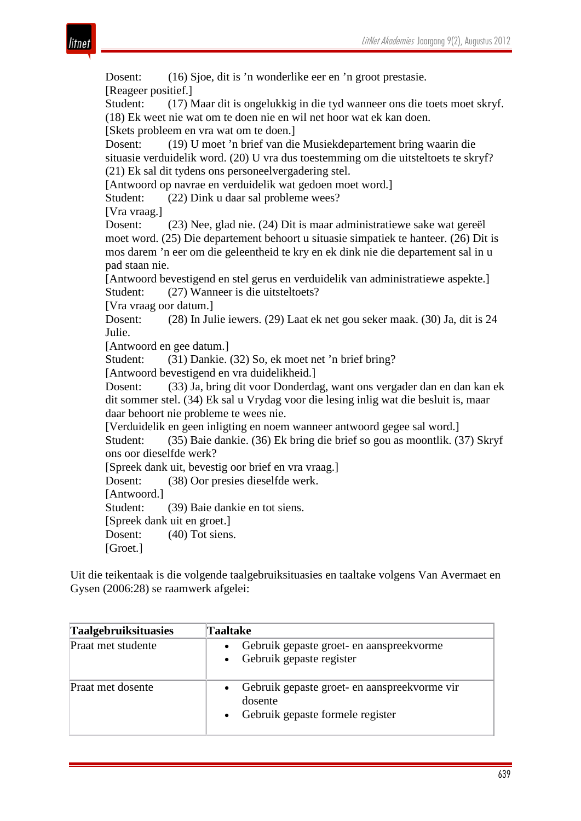

Dosent: (16) Sjoe, dit is 'n wonderlike eer en 'n groot prestasie. [Reageer positief.] Student: (17) Maar dit is ongelukkig in die tyd wanneer ons die toets moet skryf. (18) Ek weet nie wat om te doen nie en wil net hoor wat ek kan doen. [Skets probleem en vra wat om te doen.] Dosent: (19) U moet 'n brief van die Musiekdepartement bring waarin die situasie verduidelik word. (20) U vra dus toestemming om die uitsteltoets te skryf? (21) Ek sal dit tydens ons personeelvergadering stel. [Antwoord op navrae en verduidelik wat gedoen moet word.] Student: (22) Dink u daar sal probleme wees? [Vra vraag.] Dosent: (23) Nee, glad nie. (24) Dit is maar administratiewe sake wat gereël moet word. (25) Die departement behoort u situasie simpatiek te hanteer. (26) Dit is mos darem 'n eer om die geleentheid te kry en ek dink nie die departement sal in u pad staan nie. [Antwoord bevestigend en stel gerus en verduidelik van administratiewe aspekte.] Student: (27) Wanneer is die uitsteltoets? [Vra vraag oor datum.] Dosent: (28) In Julie iewers. (29) Laat ek net gou seker maak. (30) Ja, dit is 24 Julie. [Antwoord en gee datum.] Student: (31) Dankie. (32) So, ek moet net 'n brief bring? [Antwoord bevestigend en vra duidelikheid.] Dosent: (33) Ja, bring dit voor Donderdag, want ons vergader dan en dan kan ek dit sommer stel. (34) Ek sal u Vrydag voor die lesing inlig wat die besluit is, maar daar behoort nie probleme te wees nie. [Verduidelik en geen inligting en noem wanneer antwoord gegee sal word.] Student: (35) Baie dankie. (36) Ek bring die brief so gou as moontlik. (37) Skryf ons oor dieselfde werk? [Spreek dank uit, bevestig oor brief en vra vraag.] Dosent: (38) Oor presies dieselfde werk. [Antwoord.] Student: (39) Baie dankie en tot siens. [Spreek dank uit en groet.] Dosent: (40) Tot siens. [Groet.]

Uit die teikentaak is die volgende taalgebruiksituasies en taaltake volgens Van Avermaet en Gysen (2006:28) se raamwerk afgelei:

| <b>Taalgebruiksituasies</b> | Taaltake                                                                                                 |
|-----------------------------|----------------------------------------------------------------------------------------------------------|
| Praat met studente          | Gebruik gepaste groet- en aanspreekvorme<br>$\bullet$<br>Gebruik gepaste register<br>$\bullet$           |
| Praat met dosente           | Gebruik gepaste groet- en aanspreekvorme vir<br>dosente<br>Gebruik gepaste formele register<br>$\bullet$ |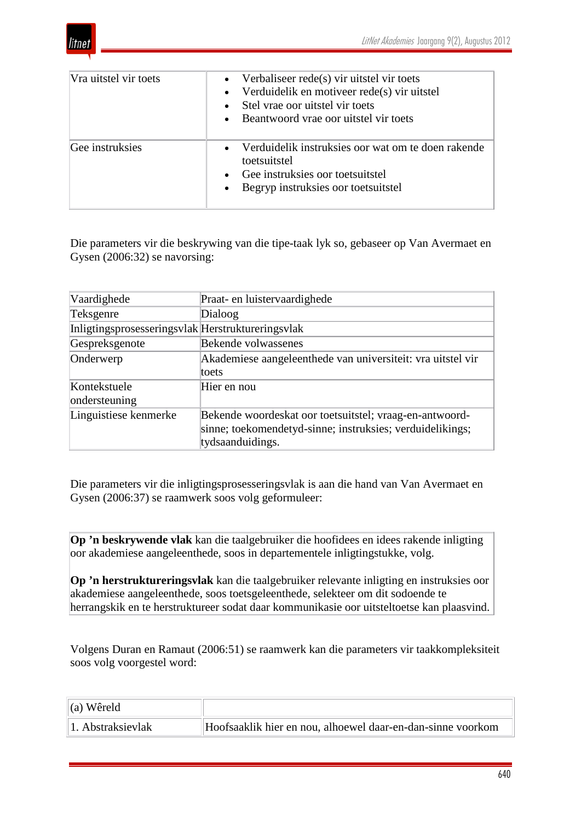

| Vra uitstel vir toets | Verbaliseer rede(s) vir uitstel vir toets<br>$\bullet$<br>Verduidelik en motiveer rede(s) vir uitstel<br>$\bullet$<br>Stel vrae oor uitstel vir toets<br>$\bullet$<br>Beantwoord vrae oor uitstel vir toets<br>$\bullet$ |
|-----------------------|--------------------------------------------------------------------------------------------------------------------------------------------------------------------------------------------------------------------------|
| Gee instruksies       | Verduidelik instruksies oor wat om te doen rakende<br>$\bullet$<br>toetsuitstel<br>Gee instruksies oor toetsuitstel<br>$\bullet$<br>• Begryp instruksies oor toetsuitstel                                                |

Die parameters vir die beskrywing van die tipe-taak lyk so, gebaseer op Van Avermaet en Gysen (2006:32) se navorsing:

| Vaardighede                                       | Praat- en luistervaardighede                                                                                                             |
|---------------------------------------------------|------------------------------------------------------------------------------------------------------------------------------------------|
| Teksgenre                                         | Dialoog                                                                                                                                  |
| Inligtingsprosesseringsvlak Herstruktureringsvlak |                                                                                                                                          |
| Gespreksgenote                                    | Bekende volwassenes                                                                                                                      |
| Onderwerp                                         | Akademiese aangeleenthede van universiteit: vra uitstel vir<br>toets                                                                     |
| Kontekstuele<br>ondersteuning                     | Hier en nou                                                                                                                              |
| Linguistiese kenmerke                             | Bekende woordeskat oor toetsuitstel; vraag-en-antwoord-<br>sinne; toekomendetyd-sinne; instruksies; verduidelikings;<br>tydsaanduidings. |

Die parameters vir die inligtingsprosesseringsvlak is aan die hand van Van Avermaet en Gysen (2006:37) se raamwerk soos volg geformuleer:

**Op 'n beskrywende vlak** kan die taalgebruiker die hoofidees en idees rakende inligting oor akademiese aangeleenthede, soos in departementele inligtingstukke, volg.

**Op 'n herstruktureringsvlak** kan die taalgebruiker relevante inligting en instruksies oor akademiese aangeleenthede, soos toetsgeleenthede, selekteer om dit sodoende te herrangskik en te herstruktureer sodat daar kommunikasie oor uitsteltoetse kan plaasvind.

Volgens Duran en Ramaut (2006:51) se raamwerk kan die parameters vir taakkompleksiteit soos volg voorgestel word:

| $\left\vert$ (a) Wêreld |                                                             |
|-------------------------|-------------------------------------------------------------|
| 1. Abstraksievlak       | Hoofsaaklik hier en nou, alhoewel daar-en-dan-sinne voorkom |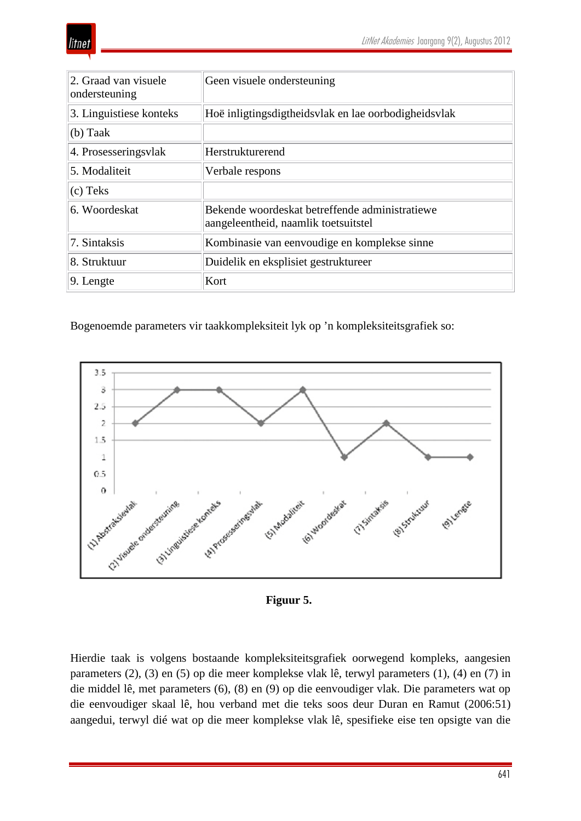| 2. Graad van visuele<br>ondersteuning | Geen visuele ondersteuning                                                             |
|---------------------------------------|----------------------------------------------------------------------------------------|
| 3. Linguistiese konteks               | Hoë inligtingsdigtheidsvlak en lae oorbodigheidsvlak                                   |
| $(b)$ Taak                            |                                                                                        |
| 4. Prosesseringsvlak                  | Herstrukturerend                                                                       |
| 5. Modaliteit                         | Verbale respons                                                                        |
| $(c)$ Teks                            |                                                                                        |
| 6. Woordeskat                         | Bekende woordeskat betreffende administratiewe<br>aangeleentheid, naamlik toetsuitstel |
| 7. Sintaksis                          | Kombinasie van eenvoudige en komplekse sinne                                           |
| 8. Struktuur                          | Duidelik en eksplisiet gestruktureer                                                   |
| $ 9.$ Lengte                          | Kort                                                                                   |

Bogenoemde parameters vir taakkompleksiteit lyk op 'n kompleksiteitsgrafiek so:



**Figuur 5.**

Hierdie taak is volgens bostaande kompleksiteitsgrafiek oorwegend kompleks, aangesien parameters (2), (3) en (5) op die meer komplekse vlak lê, terwyl parameters (1), (4) en (7) in die middel lê, met parameters (6), (8) en (9) op die eenvoudiger vlak. Die parameters wat op die eenvoudiger skaal lê, hou verband met die teks soos deur Duran en Ramut (2006:51) aangedui, terwyl dié wat op die meer komplekse vlak lê, spesifieke eise ten opsigte van die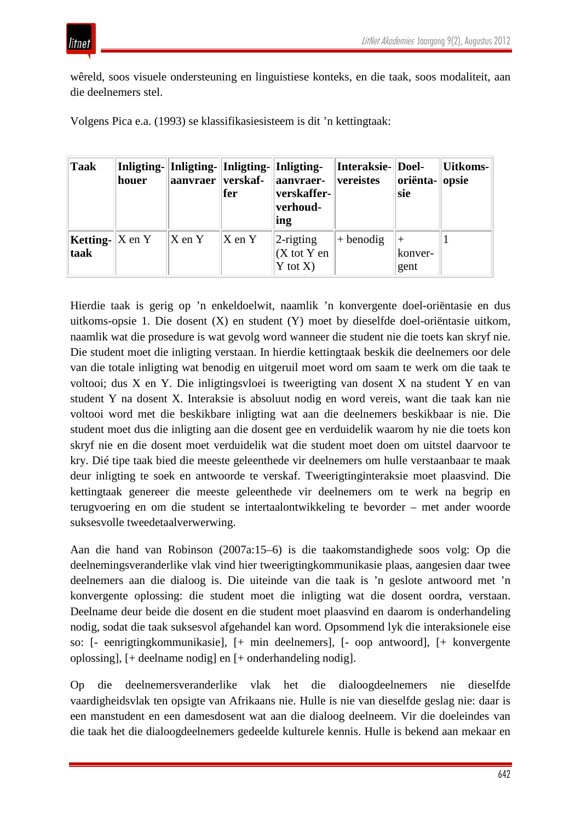

wêreld, soos visuele ondersteuning en linguistiese konteks, en die taak, soos modaliteit, aan die deelnemers stel.

Volgens Pica e.a. (1993) se klassifikasiesisteem is dit 'n kettingtaak:

| Taak                                        | houer | aanvraer    verskaf-  | fer                   | Inligting-  Inligting-  Inligting-  Inligting-<br>aanvraer-<br>verskaffer-<br>verhoud-<br>ing | Interaksie-  Doel-<br>vereistes | oriënta- opsie<br>sie | Uitkoms- |
|---------------------------------------------|-------|-----------------------|-----------------------|-----------------------------------------------------------------------------------------------|---------------------------------|-----------------------|----------|
| <b>Ketting-</b> $ X \text{ en } Y $<br>taak |       | $\ X \text{ en } Y\ $ | $\ X \text{ en } Y\ $ | $2$ -rigting<br>$(X \text{ tot } Y \text{ en})$<br>$Y \text{ tot } X$                         | $+$ benodig                     | konver-<br>gent       |          |

Hierdie taak is gerig op 'n enkeldoelwit, naamlik 'n konvergente doel-oriëntasie en dus uitkoms-opsie 1. Die dosent (X) en student (Y) moet by dieselfde doel-oriëntasie uitkom, naamlik wat die prosedure is wat gevolg word wanneer die student nie die toets kan skryf nie. Die student moet die inligting verstaan. In hierdie kettingtaak beskik die deelnemers oor dele van die totale inligting wat benodig en uitgeruil moet word om saam te werk om die taak te voltooi; dus X en Y. Die inligtingsvloei is tweerigting van dosent X na student Y en van student Y na dosent X. Interaksie is absoluut nodig en word vereis, want die taak kan nie voltooi word met die beskikbare inligting wat aan die deelnemers beskikbaar is nie. Die student moet dus die inligting aan die dosent gee en verduidelik waarom hy nie die toets kon skryf nie en die dosent moet verduidelik wat die student moet doen om uitstel daarvoor te kry. Dié tipe taak bied die meeste geleenthede vir deelnemers om hulle verstaanbaar te maak deur inligting te soek en antwoorde te verskaf. Tweerigtinginteraksie moet plaasvind. Die kettingtaak genereer die meeste geleenthede vir deelnemers om te werk na begrip en terugvoering en om die student se intertaalontwikkeling te bevorder – met ander woorde suksesvolle tweedetaalverwerwing.

Aan die hand van Robinson (2007a:15–6) is die taakomstandighede soos volg: Op die deelnemingsveranderlike vlak vind hier tweerigtingkommunikasie plaas, aangesien daar twee deelnemers aan die dialoog is. Die uiteinde van die taak is 'n geslote antwoord met 'n konvergente oplossing: die student moet die inligting wat die dosent oordra, verstaan. Deelname deur beide die dosent en die student moet plaasvind en daarom is onderhandeling nodig, sodat die taak suksesvol afgehandel kan word. Opsommend lyk die interaksionele eise so: [- eenrigtingkommunikasie], [+ min deelnemers], [- oop antwoord], [+ konvergente oplossing], [+ deelname nodig] en [+ onderhandeling nodig].

Op die deelnemersveranderlike vlak het die dialoogdeelnemers nie dieselfde vaardigheidsvlak ten opsigte van Afrikaans nie. Hulle is nie van dieselfde geslag nie: daar is een manstudent en een damesdosent wat aan die dialoog deelneem. Vir die doeleindes van die taak het die dialoogdeelnemers gedeelde kulturele kennis. Hulle is bekend aan mekaar en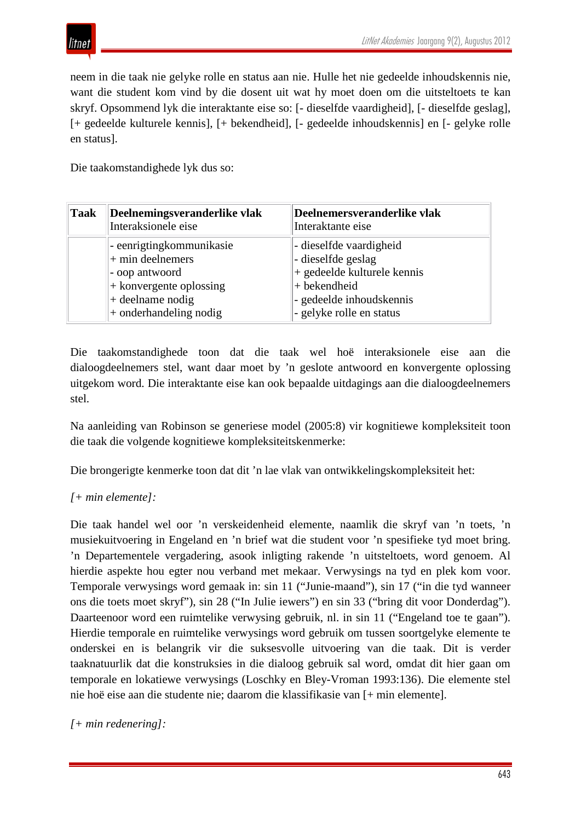

neem in die taak nie gelyke rolle en status aan nie. Hulle het nie gedeelde inhoudskennis nie, want die student kom vind by die dosent uit wat hy moet doen om die uitsteltoets te kan skryf. Opsommend lyk die interaktante eise so: [- dieselfde vaardigheid], [- dieselfde geslag], [+ gedeelde kulturele kennis], [+ bekendheid], [- gedeelde inhoudskennis] en [- gelyke rolle en status].

Die taakomstandighede lyk dus so:

| <b>Taak</b> | Deelnemingsveranderlike vlak<br>Interaksionele eise                                                                                              | Deelnemersveranderlike vlak<br>Interaktante eise                                                                                                     |
|-------------|--------------------------------------------------------------------------------------------------------------------------------------------------|------------------------------------------------------------------------------------------------------------------------------------------------------|
|             | - eenrigtingkommunikasie<br>$+$ min deelnemers<br>- oop antwoord<br>$ +$ konvergente oplossing<br>$+$ deelname nodig<br>$+$ onderhandeling nodig | - dieselfde vaardigheid<br>- dieselfde geslag<br>+ gedeelde kulturele kennis<br>+ bekendheid<br>- gedeelde inhoudskennis<br>- gelyke rolle en status |

Die taakomstandighede toon dat die taak wel hoë interaksionele eise aan die dialoogdeelnemers stel, want daar moet by 'n geslote antwoord en konvergente oplossing uitgekom word. Die interaktante eise kan ook bepaalde uitdagings aan die dialoogdeelnemers stel.

Na aanleiding van Robinson se generiese model (2005:8) vir kognitiewe kompleksiteit toon die taak die volgende kognitiewe kompleksiteitskenmerke:

Die brongerigte kenmerke toon dat dit 'n lae vlak van ontwikkelingskompleksiteit het:

## *[+ min elemente]:*

Die taak handel wel oor 'n verskeidenheid elemente, naamlik die skryf van 'n toets, 'n musiekuitvoering in Engeland en 'n brief wat die student voor 'n spesifieke tyd moet bring. 'n Departementele vergadering, asook inligting rakende 'n uitsteltoets, word genoem. Al hierdie aspekte hou egter nou verband met mekaar. Verwysings na tyd en plek kom voor. Temporale verwysings word gemaak in: sin 11 ("Junie-maand"), sin 17 ("in die tyd wanneer ons die toets moet skryf"), sin 28 ("In Julie iewers") en sin 33 ("bring dit voor Donderdag"). Daarteenoor word een ruimtelike verwysing gebruik, nl. in sin 11 ("Engeland toe te gaan"). Hierdie temporale en ruimtelike verwysings word gebruik om tussen soortgelyke elemente te onderskei en is belangrik vir die suksesvolle uitvoering van die taak. Dit is verder taaknatuurlik dat die konstruksies in die dialoog gebruik sal word, omdat dit hier gaan om temporale en lokatiewe verwysings (Loschky en Bley-Vroman 1993:136). Die elemente stel nie hoë eise aan die studente nie; daarom die klassifikasie van [+ min elemente].

*[+ min redenering]:*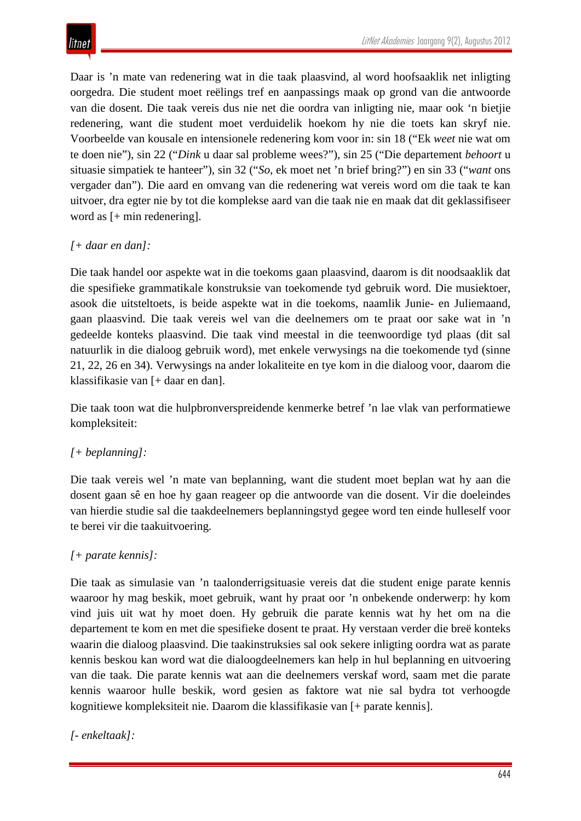Daar is 'n mate van redenering wat in die taak plaasvind, al word hoofsaaklik net inligting oorgedra. Die student moet reëlings tref en aanpassings maak op grond van die antwoorde van die dosent. Die taak vereis dus nie net die oordra van inligting nie, maar ook 'n bietjie redenering, want die student moet verduidelik hoekom hy nie die toets kan skryf nie. Voorbeelde van kousale en intensionele redenering kom voor in: sin 18 ("Ek *weet* nie wat om te doen nie"), sin 22 ("*Dink* u daar sal probleme wees?"), sin 25 ("Die departement *behoort* u situasie simpatiek te hanteer"), sin 32 ("*So*, ek moet net 'n brief bring?") en sin 33 ("*want* ons vergader dan"). Die aard en omvang van die redenering wat vereis word om die taak te kan uitvoer, dra egter nie by tot die komplekse aard van die taak nie en maak dat dit geklassifiseer word as [+ min redenering].

## *[+ daar en dan]:*

Die taak handel oor aspekte wat in die toekoms gaan plaasvind, daarom is dit noodsaaklik dat die spesifieke grammatikale konstruksie van toekomende tyd gebruik word. Die musiektoer, asook die uitsteltoets, is beide aspekte wat in die toekoms, naamlik Junie- en Juliemaand, gaan plaasvind. Die taak vereis wel van die deelnemers om te praat oor sake wat in 'n gedeelde konteks plaasvind. Die taak vind meestal in die teenwoordige tyd plaas (dit sal natuurlik in die dialoog gebruik word), met enkele verwysings na die toekomende tyd (sinne 21, 22, 26 en 34). Verwysings na ander lokaliteite en tye kom in die dialoog voor, daarom die klassifikasie van [+ daar en dan].

Die taak toon wat die hulpbronverspreidende kenmerke betref 'n lae vlak van performatiewe kompleksiteit:

## *[+ beplanning]:*

Die taak vereis wel 'n mate van beplanning, want die student moet beplan wat hy aan die dosent gaan sê en hoe hy gaan reageer op die antwoorde van die dosent. Vir die doeleindes van hierdie studie sal die taakdeelnemers beplanningstyd gegee word ten einde hulleself voor te berei vir die taakuitvoering.

## *[+ parate kennis]:*

Die taak as simulasie van 'n taalonderrigsituasie vereis dat die student enige parate kennis waaroor hy mag beskik, moet gebruik, want hy praat oor 'n onbekende onderwerp: hy kom vind juis uit wat hy moet doen. Hy gebruik die parate kennis wat hy het om na die departement te kom en met die spesifieke dosent te praat. Hy verstaan verder die breë konteks waarin die dialoog plaasvind. Die taakinstruksies sal ook sekere inligting oordra wat as parate kennis beskou kan word wat die dialoogdeelnemers kan help in hul beplanning en uitvoering van die taak. Die parate kennis wat aan die deelnemers verskaf word, saam met die parate kennis waaroor hulle beskik, word gesien as faktore wat nie sal bydra tot verhoogde kognitiewe kompleksiteit nie. Daarom die klassifikasie van [+ parate kennis].

## *[- enkeltaak]:*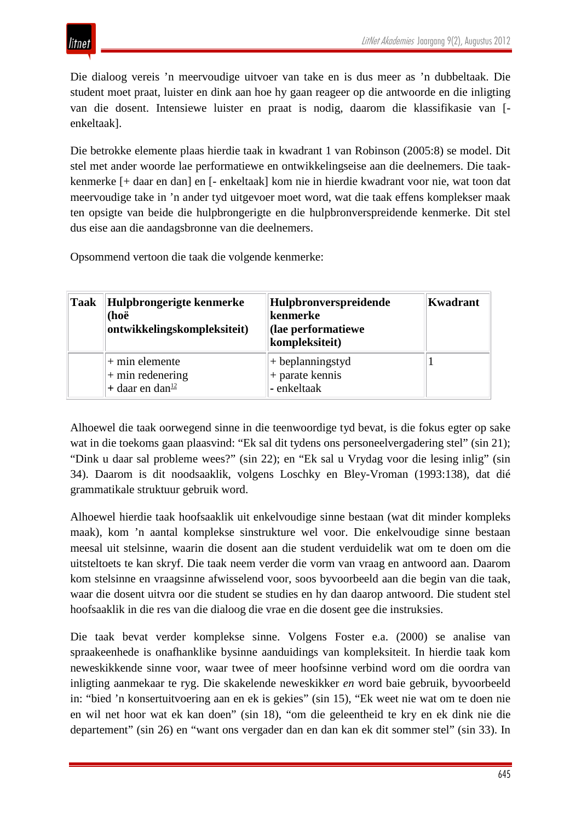Die dialoog vereis 'n meervoudige uitvoer van take en is dus meer as 'n dubbeltaak. Die student moet praat, luister en dink aan hoe hy gaan reageer op die antwoorde en die inligting van die dosent. Intensiewe luister en praat is nodig, daarom die klassifikasie van [ enkeltaak].

Die betrokke elemente plaas hierdie taak in kwadrant 1 van Robinson (2005:8) se model. Dit stel met ander woorde lae performatiewe en ontwikkelingseise aan die deelnemers. Die taakkenmerke [+ daar en dan] en [- enkeltaak] kom nie in hierdie kwadrant voor nie, wat toon dat meervoudige take in 'n ander tyd uitgevoer moet word, wat die taak effens komplekser maak ten opsigte van beide die hulpbrongerigte en die hulpbronverspreidende kenmerke. Dit stel dus eise aan die aandagsbronne van die deelnemers.

Opsommend vertoon die taak die volgende kenmerke:

| <b>Taak</b> | Hulpbrongerigte kenmerke<br>(hoë<br>ontwikkelingskompleksiteit)       | Hulpbronverspreidende<br>kenmerke<br>(lae performatiewe)<br>kompleksiteit) | Kwadrant |
|-------------|-----------------------------------------------------------------------|----------------------------------------------------------------------------|----------|
|             | $+$ min elemente<br>$+$ min redenering<br>+ daar en dan <sup>12</sup> | $+$ beplanningstyd<br>+ parate kennis<br>- enkeltaak                       |          |

Alhoewel die taak oorwegend sinne in die teenwoordige tyd bevat, is die fokus egter op sake wat in die toekoms gaan plaasvind: "Ek sal dit tydens ons personeelvergadering stel" (sin 21); "Dink u daar sal probleme wees?" (sin 22); en "Ek sal u Vrydag voor die lesing inlig" (sin 34). Daarom is dit noodsaaklik, volgens Loschky en Bley-Vroman (1993:138), dat dié grammatikale struktuur gebruik word.

Alhoewel hierdie taak hoofsaaklik uit enkelvoudige sinne bestaan (wat dit minder kompleks maak), kom 'n aantal komplekse sinstrukture wel voor. Die enkelvoudige sinne bestaan meesal uit stelsinne, waarin die dosent aan die student verduidelik wat om te doen om die uitsteltoets te kan skryf. Die taak neem verder die vorm van vraag en antwoord aan. Daarom kom stelsinne en vraagsinne afwisselend voor, soos byvoorbeeld aan die begin van die taak, waar die dosent uitvra oor die student se studies en hy dan daarop antwoord. Die student stel hoofsaaklik in die res van die dialoog die vrae en die dosent gee die instruksies.

Die taak bevat verder komplekse sinne. Volgens Foster e.a. (2000) se analise van spraakeenhede is onafhanklike bysinne aanduidings van kompleksiteit. In hierdie taak kom neweskikkende sinne voor, waar twee of meer hoofsinne verbind word om die oordra van inligting aanmekaar te ryg. Die skakelende neweskikker *en* word baie gebruik, byvoorbeeld in: "bied 'n konsertuitvoering aan en ek is gekies" (sin 15), "Ek weet nie wat om te doen nie en wil net hoor wat ek kan doen" (sin 18), "om die geleentheid te kry en ek dink nie die departement" (sin 26) en "want ons vergader dan en dan kan ek dit sommer stel" (sin 33). In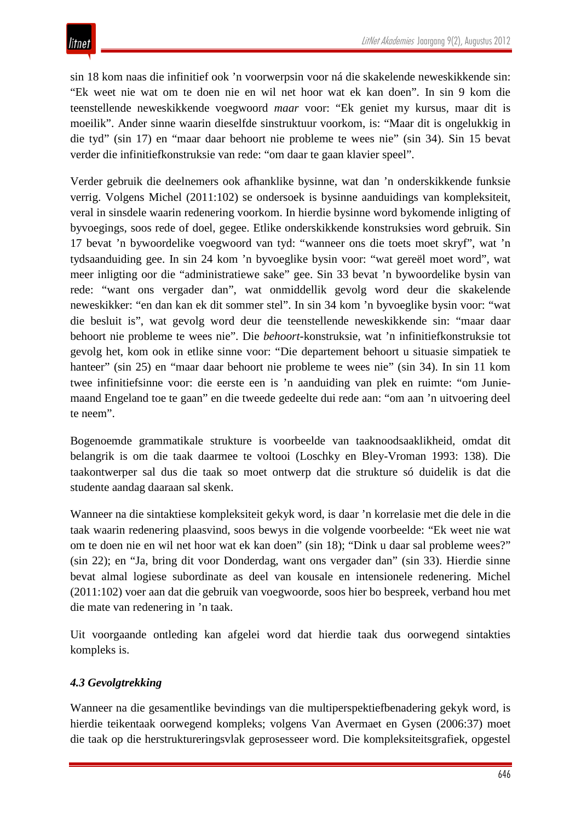sin 18 kom naas die infinitief ook 'n voorwerpsin voor ná die skakelende neweskikkende sin: "Ek weet nie wat om te doen nie en wil net hoor wat ek kan doen". In sin 9 kom die teenstellende neweskikkende voegwoord *maar* voor: "Ek geniet my kursus, maar dit is moeilik". Ander sinne waarin dieselfde sinstruktuur voorkom, is: "Maar dit is ongelukkig in die tyd" (sin 17) en "maar daar behoort nie probleme te wees nie" (sin 34). Sin 15 bevat verder die infinitiefkonstruksie van rede: "om daar te gaan klavier speel".

Verder gebruik die deelnemers ook afhanklike bysinne, wat dan 'n onderskikkende funksie verrig. Volgens Michel (2011:102) se ondersoek is bysinne aanduidings van kompleksiteit, veral in sinsdele waarin redenering voorkom. In hierdie bysinne word bykomende inligting of byvoegings, soos rede of doel, gegee. Etlike onderskikkende konstruksies word gebruik. Sin 17 bevat 'n bywoordelike voegwoord van tyd: "wanneer ons die toets moet skryf", wat 'n tydsaanduiding gee. In sin 24 kom 'n byvoeglike bysin voor: "wat gereël moet word", wat meer inligting oor die "administratiewe sake" gee. Sin 33 bevat 'n bywoordelike bysin van rede: "want ons vergader dan", wat onmiddellik gevolg word deur die skakelende neweskikker: "en dan kan ek dit sommer stel". In sin 34 kom 'n byvoeglike bysin voor: "wat die besluit is", wat gevolg word deur die teenstellende neweskikkende sin: "maar daar behoort nie probleme te wees nie". Die *behoort*-konstruksie, wat 'n infinitiefkonstruksie tot gevolg het, kom ook in etlike sinne voor: "Die departement behoort u situasie simpatiek te hanteer" (sin 25) en "maar daar behoort nie probleme te wees nie" (sin 34). In sin 11 kom twee infinitiefsinne voor: die eerste een is 'n aanduiding van plek en ruimte: "om Juniemaand Engeland toe te gaan" en die tweede gedeelte dui rede aan: "om aan 'n uitvoering deel te neem".

Bogenoemde grammatikale strukture is voorbeelde van taaknoodsaaklikheid, omdat dit belangrik is om die taak daarmee te voltooi (Loschky en Bley-Vroman 1993: 138). Die taakontwerper sal dus die taak so moet ontwerp dat die strukture só duidelik is dat die studente aandag daaraan sal skenk.

Wanneer na die sintaktiese kompleksiteit gekyk word, is daar 'n korrelasie met die dele in die taak waarin redenering plaasvind, soos bewys in die volgende voorbeelde: "Ek weet nie wat om te doen nie en wil net hoor wat ek kan doen" (sin 18); "Dink u daar sal probleme wees?" (sin 22); en "Ja, bring dit voor Donderdag, want ons vergader dan" (sin 33). Hierdie sinne bevat almal logiese subordinate as deel van kousale en intensionele redenering. Michel (2011:102) voer aan dat die gebruik van voegwoorde, soos hier bo bespreek, verband hou met die mate van redenering in 'n taak.

Uit voorgaande ontleding kan afgelei word dat hierdie taak dus oorwegend sintakties kompleks is.

## *4.3 Gevolgtrekking*

Wanneer na die gesamentlike bevindings van die multiperspektiefbenadering gekyk word, is hierdie teikentaak oorwegend kompleks; volgens Van Avermaet en Gysen (2006:37) moet die taak op die herstruktureringsvlak geprosesseer word. Die kompleksiteitsgrafiek, opgestel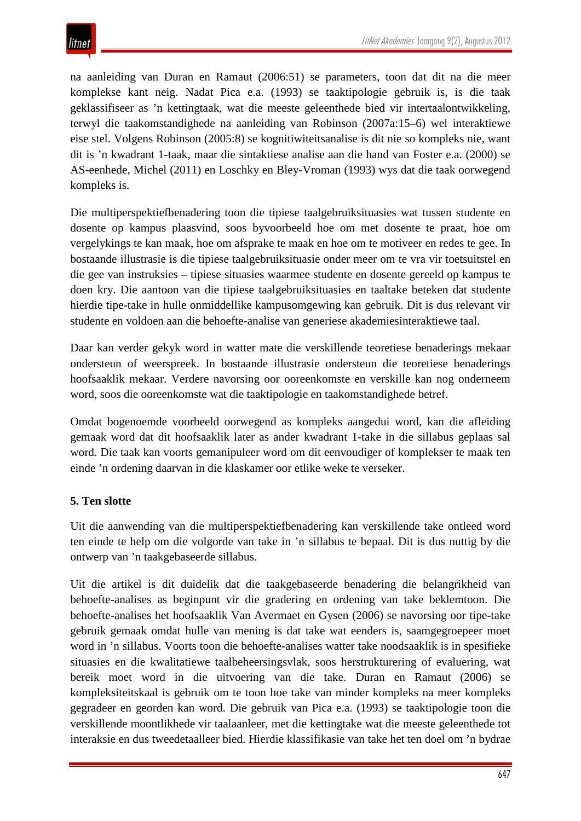na aanleiding van Duran en Ramaut (2006:51) se parameters, toon dat dit na die meer komplekse kant neig. Nadat Pica e.a. (1993) se taaktipologie gebruik is, is die taak geklassifiseer as 'n kettingtaak, wat die meeste geleenthede bied vir intertaalontwikkeling, terwyl die taakomstandighede na aanleiding van Robinson (2007a:15–6) wel interaktiewe eise stel. Volgens Robinson (2005:8) se kognitiwiteitsanalise is dit nie so kompleks nie, want dit is 'n kwadrant 1-taak, maar die sintaktiese analise aan die hand van Foster e.a. (2000) se AS-eenhede, Michel (2011) en Loschky en Bley-Vroman (1993) wys dat die taak oorwegend kompleks is.

Die multiperspektiefbenadering toon die tipiese taalgebruiksituasies wat tussen studente en dosente op kampus plaasvind, soos byvoorbeeld hoe om met dosente te praat, hoe om vergelykings te kan maak, hoe om afsprake te maak en hoe om te motiveer en redes te gee. In bostaande illustrasie is die tipiese taalgebruiksituasie onder meer om te vra vir toetsuitstel en die gee van instruksies – tipiese situasies waarmee studente en dosente gereeld op kampus te doen kry. Die aantoon van die tipiese taalgebruiksituasies en taaltake beteken dat studente hierdie tipe-take in hulle onmiddellike kampusomgewing kan gebruik. Dit is dus relevant vir studente en voldoen aan die behoefte-analise van generiese akademiesinteraktiewe taal.

Daar kan verder gekyk word in watter mate die verskillende teoretiese benaderings mekaar ondersteun of weerspreek. In bostaande illustrasie ondersteun die teoretiese benaderings hoofsaaklik mekaar. Verdere navorsing oor ooreenkomste en verskille kan nog onderneem word, soos die ooreenkomste wat die taaktipologie en taakomstandighede betref.

Omdat bogenoemde voorbeeld oorwegend as kompleks aangedui word, kan die afleiding gemaak word dat dit hoofsaaklik later as ander kwadrant 1-take in die sillabus geplaas sal word. Die taak kan voorts gemanipuleer word om dit eenvoudiger of komplekser te maak ten einde 'n ordening daarvan in die klaskamer oor etlike weke te verseker.

## **5. Ten slotte**

Uit die aanwending van die multiperspektiefbenadering kan verskillende take ontleed word ten einde te help om die volgorde van take in 'n sillabus te bepaal. Dit is dus nuttig by die ontwerp van 'n taakgebaseerde sillabus.

Uit die artikel is dit duidelik dat die taakgebaseerde benadering die belangrikheid van behoefte-analises as beginpunt vir die gradering en ordening van take beklemtoon. Die behoefte-analises het hoofsaaklik Van Avermaet en Gysen (2006) se navorsing oor tipe-take gebruik gemaak omdat hulle van mening is dat take wat eenders is, saamgegroepeer moet word in 'n sillabus. Voorts toon die behoefte-analises watter take noodsaaklik is in spesifieke situasies en die kwalitatiewe taalbeheersingsvlak, soos herstrukturering of evaluering, wat bereik moet word in die uitvoering van die take. Duran en Ramaut (2006) se kompleksiteitskaal is gebruik om te toon hoe take van minder kompleks na meer kompleks gegradeer en georden kan word. Die gebruik van Pica e.a. (1993) se taaktipologie toon die verskillende moontlikhede vir taalaanleer, met die kettingtake wat die meeste geleenthede tot interaksie en dus tweedetaalleer bied. Hierdie klassifikasie van take het ten doel om 'n bydrae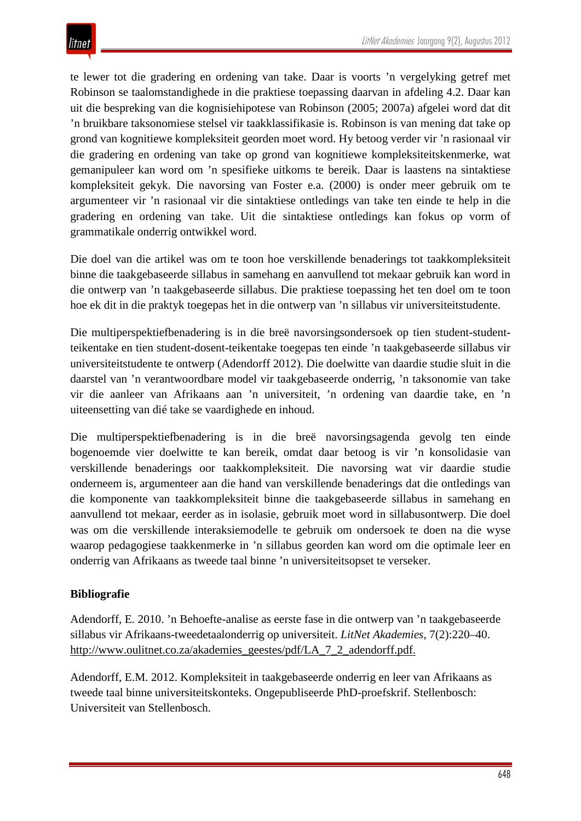te lewer tot die gradering en ordening van take. Daar is voorts 'n vergelyking getref met Robinson se taalomstandighede in die praktiese toepassing daarvan in afdeling 4.2. Daar kan uit die bespreking van die kognisiehipotese van Robinson (2005; 2007a) afgelei word dat dit 'n bruikbare taksonomiese stelsel vir taakklassifikasie is. Robinson is van mening dat take op grond van kognitiewe kompleksiteit georden moet word. Hy betoog verder vir 'n rasionaal vir die gradering en ordening van take op grond van kognitiewe kompleksiteitskenmerke, wat gemanipuleer kan word om 'n spesifieke uitkoms te bereik. Daar is laastens na sintaktiese kompleksiteit gekyk. Die navorsing van Foster e.a. (2000) is onder meer gebruik om te argumenteer vir 'n rasionaal vir die sintaktiese ontledings van take ten einde te help in die gradering en ordening van take. Uit die sintaktiese ontledings kan fokus op vorm of grammatikale onderrig ontwikkel word.

Die doel van die artikel was om te toon hoe verskillende benaderings tot taakkompleksiteit binne die taakgebaseerde sillabus in samehang en aanvullend tot mekaar gebruik kan word in die ontwerp van 'n taakgebaseerde sillabus. Die praktiese toepassing het ten doel om te toon hoe ek dit in die praktyk toegepas het in die ontwerp van 'n sillabus vir universiteitstudente.

Die multiperspektiefbenadering is in die breë navorsingsondersoek op tien student-studentteikentake en tien student-dosent-teikentake toegepas ten einde 'n taakgebaseerde sillabus vir universiteitstudente te ontwerp (Adendorff 2012). Die doelwitte van daardie studie sluit in die daarstel van 'n verantwoordbare model vir taakgebaseerde onderrig, 'n taksonomie van take vir die aanleer van Afrikaans aan 'n universiteit, 'n ordening van daardie take, en 'n uiteensetting van dié take se vaardighede en inhoud.

Die multiperspektiefbenadering is in die breë navorsingsagenda gevolg ten einde bogenoemde vier doelwitte te kan bereik, omdat daar betoog is vir 'n konsolidasie van verskillende benaderings oor taakkompleksiteit. Die navorsing wat vir daardie studie onderneem is, argumenteer aan die hand van verskillende benaderings dat die ontledings van die komponente van taakkompleksiteit binne die taakgebaseerde sillabus in samehang en aanvullend tot mekaar, eerder as in isolasie, gebruik moet word in sillabusontwerp. Die doel was om die verskillende interaksiemodelle te gebruik om ondersoek te doen na die wyse waarop pedagogiese taakkenmerke in 'n sillabus georden kan word om die optimale leer en onderrig van Afrikaans as tweede taal binne 'n universiteitsopset te verseker.

## **Bibliografie**

Adendorff, E. 2010. 'n Behoefte-analise as eerste fase in die ontwerp van 'n taakgebaseerde sillabus vir Afrikaans-tweedetaalonderrig op universiteit. *LitNet Akademies*, 7(2):220–40. [http://www.oulitnet.co.za/akademies\\_geestes/pdf/LA\\_7\\_2\\_adendorff.pdf.](http://www.oulitnet.co.za/akademies_geestes/pdf/LA_7_2_adendorff.pdf.)

Adendorff, E.M. 2012. Kompleksiteit in taakgebaseerde onderrig en leer van Afrikaans as tweede taal binne universiteitskonteks. Ongepubliseerde PhD-proefskrif. Stellenbosch: Universiteit van Stellenbosch.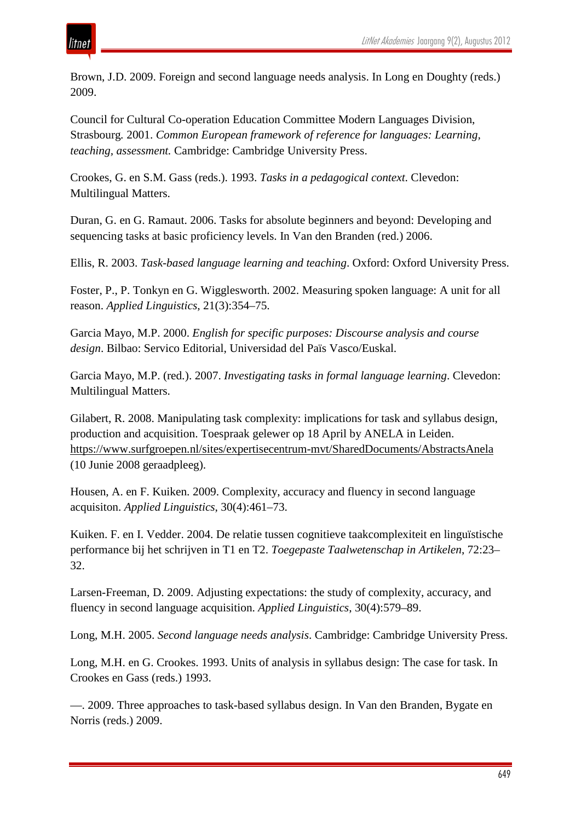Brown, J.D. 2009. Foreign and second language needs analysis. In Long en Doughty (reds.) 2009.

Council for Cultural Co-operation Education Committee Modern Languages Division, Strasbourg*.* 2001. *Common European framework of reference for languages: Learning, teaching, assessment.* Cambridge: Cambridge University Press.

Crookes, G. en S.M. Gass (reds.). 1993. *Tasks in a pedagogical context*. Clevedon: Multilingual Matters.

Duran, G. en G. Ramaut. 2006. Tasks for absolute beginners and beyond: Developing and sequencing tasks at basic proficiency levels. In Van den Branden (red.) 2006.

Ellis, R. 2003. *Task-based language learning and teaching*. Oxford: Oxford University Press.

Foster, P., P. Tonkyn en G. Wigglesworth. 2002. Measuring spoken language: A unit for all reason. *Applied Linguistics*, 21(3):354–75.

Garcia Mayo, M.P. 2000. *English for specific purposes: Discourse analysis and course design*. Bilbao: Servico Editorial, Universidad del Païs Vasco/Euskal.

Garcia Mayo, M.P. (red.). 2007. *Investigating tasks in formal language learning*. Clevedon: Multilingual Matters.

Gilabert, R. 2008. Manipulating task complexity: implications for task and syllabus design, production and acquisition. Toespraak gelewer op 18 April by ANELA in Leiden. <https://www.surfgroepen.nl/sites/expertisecentrum-mvt/SharedDocuments/AbstractsAnela> (10 Junie 2008 geraadpleeg).

Housen, A. en F. Kuiken. 2009. Complexity, accuracy and fluency in second language acquisiton. *Applied Linguistics*, 30(4):461–73.

Kuiken. F. en I. Vedder. 2004. De relatie tussen cognitieve taakcomplexiteit en linguïstische performance bij het schrijven in T1 en T2. *Toegepaste Taalwetenschap in Artikelen*, 72:23– 32.

Larsen-Freeman, D. 2009. Adjusting expectations: the study of complexity, accuracy, and fluency in second language acquisition. *Applied Linguistics*, 30(4):579–89.

Long, M.H. 2005. *Second language needs analysis*. Cambridge: Cambridge University Press.

Long, M.H. en G. Crookes. 1993. Units of analysis in syllabus design: The case for task. In Crookes en Gass (reds.) 1993.

—. 2009. Three approaches to task-based syllabus design. In Van den Branden, Bygate en Norris (reds.) 2009.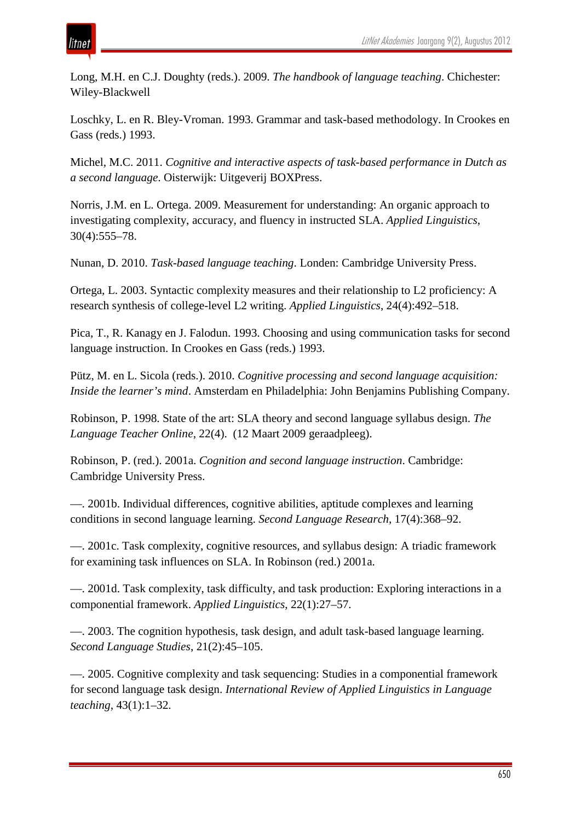Long, M.H. en C.J. Doughty (reds.). 2009. *The handbook of language teaching*. Chichester: Wiley-Blackwell

Loschky, L. en R. Bley-Vroman. 1993. Grammar and task-based methodology. In Crookes en Gass (reds.) 1993.

Michel, M.C. 2011. *Cognitive and interactive aspects of task-based performance in Dutch as a second language*. Oisterwijk: Uitgeverij BOXPress.

Norris, J.M. en L. Ortega. 2009. Measurement for understanding: An organic approach to investigating complexity, accuracy, and fluency in instructed SLA. *Applied Linguistics*, 30(4):555–78.

Nunan, D. 2010. *Task-based language teaching*. Londen: Cambridge University Press.

Ortega, L. 2003. Syntactic complexity measures and their relationship to L2 proficiency: A research synthesis of college-level L2 writing. *Applied Linguistics*, 24(4):492–518.

Pica, T., R. Kanagy en J. Falodun. 1993. Choosing and using communication tasks for second language instruction. In Crookes en Gass (reds.) 1993.

Pütz, M. en L. Sicola (reds.). 2010. *Cognitive processing and second language acquisition: Inside the learner's mind*. Amsterdam en Philadelphia: John Benjamins Publishing Company.

Robinson, P. 1998. State of the art: SLA theory and second language syllabus design. *The Language Teacher Online*, 22(4). (12 Maart 2009 geraadpleeg).

Robinson, P. (red.). 2001a. *Cognition and second language instruction*. Cambridge: Cambridge University Press.

—. 2001b. Individual differences, cognitive abilities, aptitude complexes and learning conditions in second language learning. *Second Language Research*, 17(4):368–92.

—. 2001c. Task complexity, cognitive resources, and syllabus design: A triadic framework for examining task influences on SLA. In Robinson (red.) 2001a.

—. 2001d. Task complexity, task difficulty, and task production: Exploring interactions in a componential framework. *Applied Linguistics*, 22(1):27–57.

—. 2003. The cognition hypothesis, task design, and adult task-based language learning. *Second Language Studies*, 21(2):45–105.

—. 2005. Cognitive complexity and task sequencing: Studies in a componential framework for second language task design. *International Review of Applied Linguistics in Language teaching*, 43(1):1–32.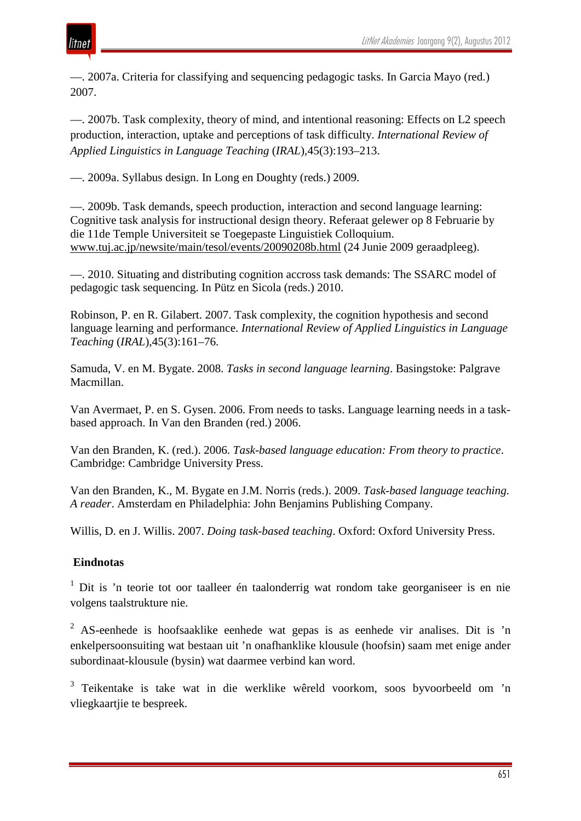

—. 2007a. Criteria for classifying and sequencing pedagogic tasks. In Garcia Mayo (red.) 2007.

—. 2007b. Task complexity, theory of mind, and intentional reasoning: Effects on L2 speech production, interaction, uptake and perceptions of task difficulty. *International Review of Applied Linguistics in Language Teaching* (*IRAL*),45(3):193–213.

—. 2009a. Syllabus design. In Long en Doughty (reds.) 2009.

—. 2009b. Task demands, speech production, interaction and second language learning: Cognitive task analysis for instructional design theory. Referaat gelewer op 8 Februarie by die 11de Temple Universiteit se Toegepaste Linguistiek Colloquium. [www.tuj.ac.jp/newsite/main/tesol/events/20090208b.html](http://www.tuj.ac.jp/newsite/main/tesol/events/20090208b.html) (24 Junie 2009 geraadpleeg).

—. 2010. Situating and distributing cognition accross task demands: The SSARC model of pedagogic task sequencing. In Pütz en Sicola (reds.) 2010.

Robinson, P. en R. Gilabert. 2007. Task complexity, the cognition hypothesis and second language learning and performance. *International Review of Applied Linguistics in Language Teaching* (*IRAL*),45(3):161–76.

Samuda, V. en M. Bygate. 2008. *Tasks in second language learning*. Basingstoke: Palgrave Macmillan.

Van Avermaet, P. en S. Gysen. 2006. From needs to tasks. Language learning needs in a taskbased approach. In Van den Branden (red.) 2006.

Van den Branden, K. (red.). 2006. *Task-based language education: From theory to practice*. Cambridge: Cambridge University Press.

Van den Branden, K., M. Bygate en J.M. Norris (reds.). 2009. *Task-based language teaching. A reader*. Amsterdam en Philadelphia: John Benjamins Publishing Company.

Willis, D. en J. Willis. 2007. *Doing task-based teaching*. Oxford: Oxford University Press.

### **Eindnotas**

 $1$  Dit is 'n teorie tot oor taalleer én taalonderrig wat rondom take georganiseer is en nie volgens taalstrukture nie.

<sup>2</sup> AS-eenhede is hoofsaaklike eenhede wat gepas is as eenhede vir analises. Dit is 'n enkelpersoonsuiting wat bestaan uit 'n onafhanklike klousule (hoofsin) saam met enige ander subordinaat-klousule (bysin) wat daarmee verbind kan word.

<sup>3</sup> Teikentake is take wat in die werklike wêreld voorkom, soos byvoorbeeld om 'n vliegkaartjie te bespreek.